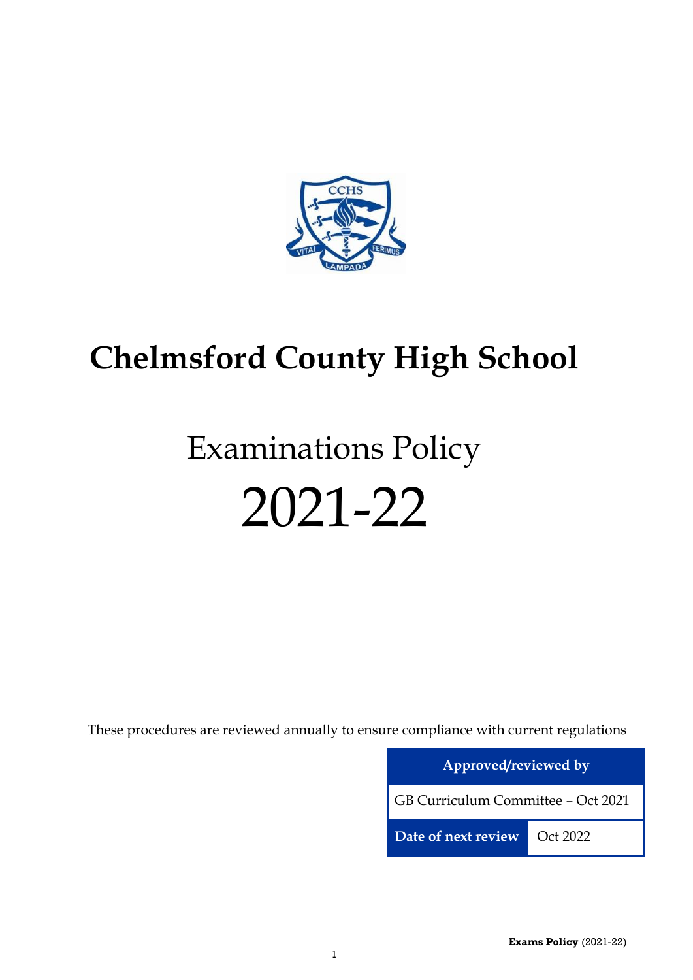

# **Chelmsford County High School**

# Examinations Policy 2021-22

These procedures are reviewed annually to ensure compliance with current regulations

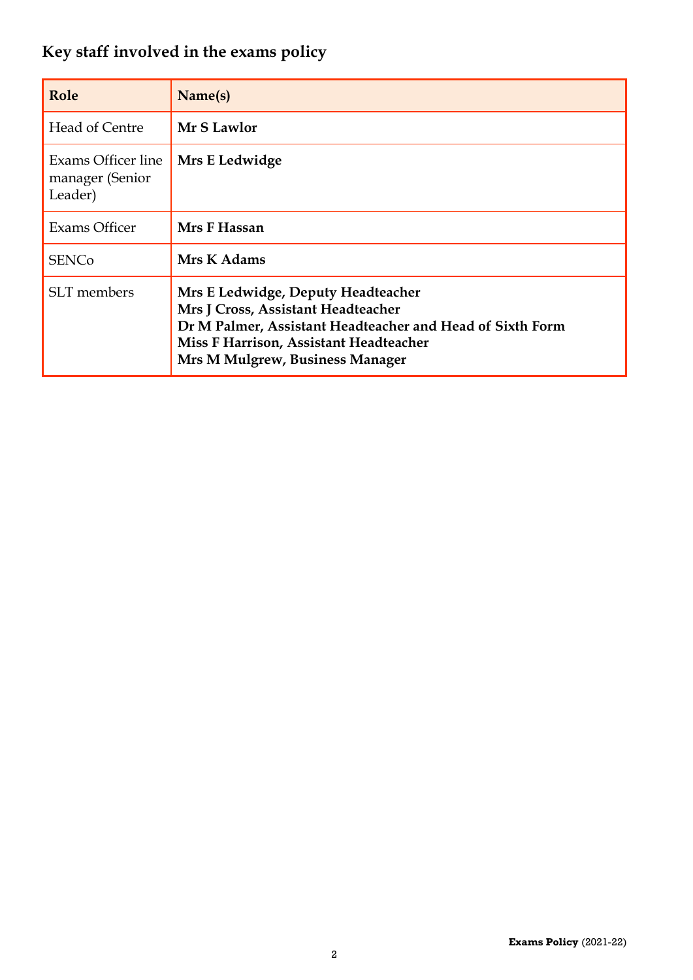# <span id="page-1-0"></span>**Key staff involved in the exams policy**

| Role                                             | Name(s)                                                                                                                                                                                                            |
|--------------------------------------------------|--------------------------------------------------------------------------------------------------------------------------------------------------------------------------------------------------------------------|
| Head of Centre                                   | Mr S Lawlor                                                                                                                                                                                                        |
| Exams Officer line<br>manager (Senior<br>Leader) | Mrs E Ledwidge                                                                                                                                                                                                     |
| Exams Officer                                    | Mrs F Hassan                                                                                                                                                                                                       |
| <b>SENCo</b>                                     | Mrs K Adams                                                                                                                                                                                                        |
| <b>SLT</b> members                               | Mrs E Ledwidge, Deputy Headteacher<br>Mrs J Cross, Assistant Headteacher<br>Dr M Palmer, Assistant Headteacher and Head of Sixth Form<br>Miss F Harrison, Assistant Headteacher<br>Mrs M Mulgrew, Business Manager |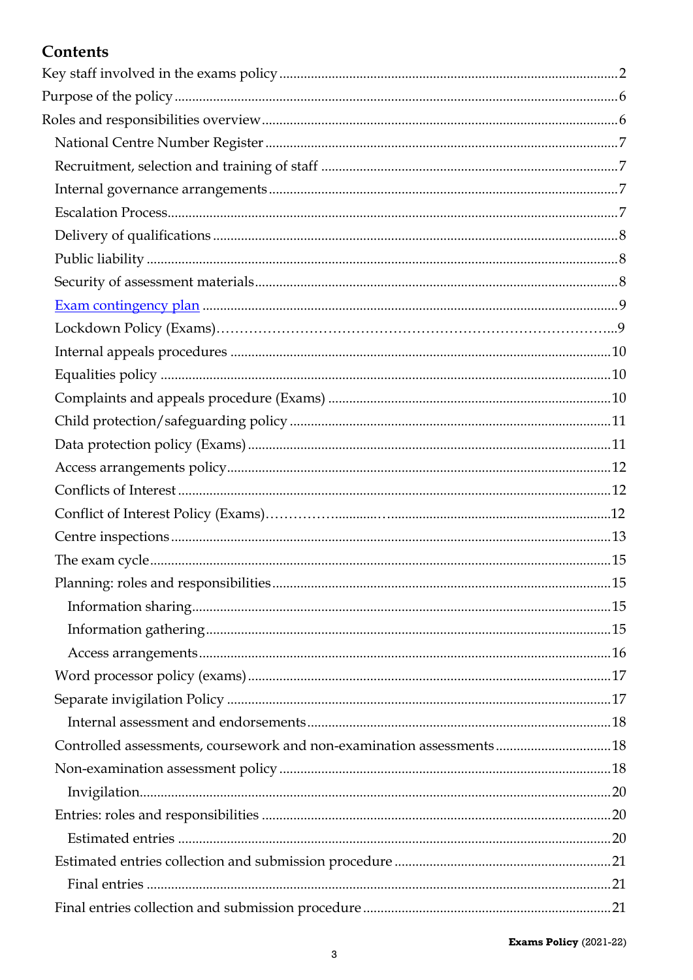# Contents

| Controlled assessments, coursework and non-examination assessments18 |  |
|----------------------------------------------------------------------|--|
|                                                                      |  |
|                                                                      |  |
|                                                                      |  |
|                                                                      |  |
|                                                                      |  |
|                                                                      |  |
|                                                                      |  |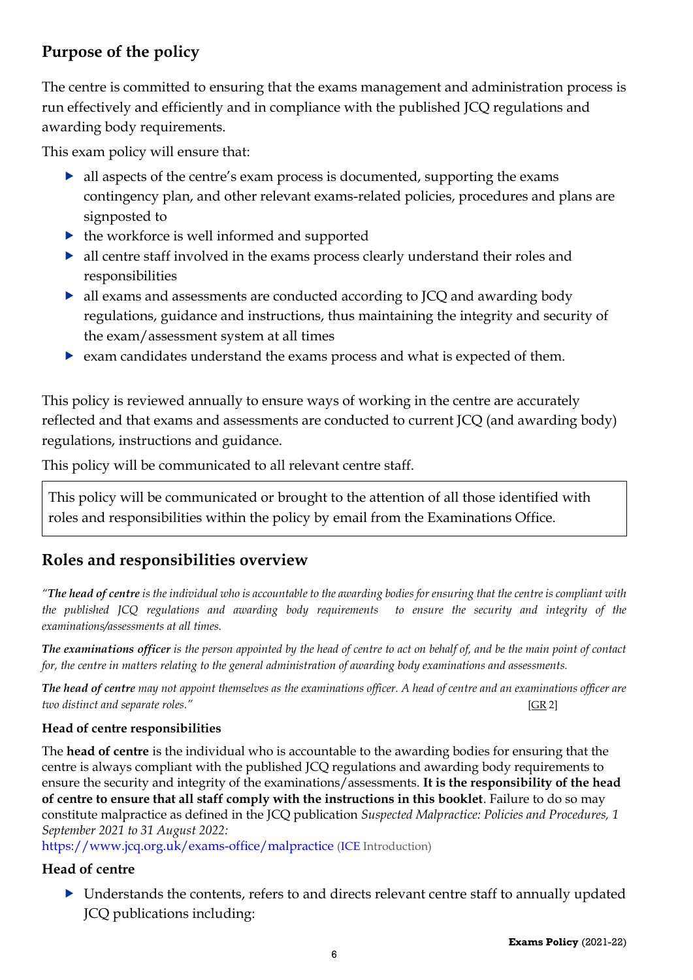# <span id="page-5-0"></span>**Purpose of the policy**

The centre is committed to ensuring that the exams management and administration process is run effectively and efficiently and in compliance with the published JCQ regulations and awarding body requirements.

This exam policy will ensure that:

- all aspects of the centre's exam process is documented, supporting the exams contingency plan, and other relevant exams-related policies, procedures and plans are signposted to
- $\blacktriangleright$  the workforce is well informed and supported
- all centre staff involved in the exams process clearly understand their roles and responsibilities
- all exams and assessments are conducted according to JCQ and awarding body regulations, guidance and instructions, thus maintaining the integrity and security of the exam/assessment system at all times
- exam candidates understand the exams process and what is expected of them.

This policy is reviewed annually to ensure ways of working in the centre are accurately reflected and that exams and assessments are conducted to current JCQ (and awarding body) regulations, instructions and guidance.

This policy will be communicated to all relevant centre staff.

This policy will be communicated or brought to the attention of all those identified with roles and responsibilities within the policy by email from the Examinations Office.

# <span id="page-5-1"></span>**Roles and responsibilities overview**

*"The head of centre is the individual who is accountable to the awarding bodies for ensuring that the centre is compliant with the published JCQ regulations and awarding body requirements to ensure the security and integrity of the examinations/assessments at all times.* 

*The examinations officer is the person appointed by the head of centre to act on behalf of, and be the main point of contact for, the centre in matters relating to the general administration of awarding body examinations and assessments.* 

*The head of centre may not appoint themselves as the examinations officer. A head of centre and an examinations officer are two distinct and separate roles."* [\[GR](http://www.jcq.org.uk/exams-office/general-regulations) 2]

#### **Head of centre responsibilities**

The **head of centre** is the individual who is accountable to the awarding bodies for ensuring that the centre is always compliant with the published JCQ regulations and awarding body requirements to ensure the security and integrity of the examinations/assessments. **It is the responsibility of the head of centre to ensure that all staff comply with the instructions in this booklet**. Failure to do so may constitute malpractice as defined in the JCQ publication *Suspected Malpractice: Policies and Procedures, 1 September 2021 to 31 August 2022:* 

<https://www.jcq.org.uk/exams-office/malpractice> [\(ICE](http://www.jcq.org.uk/exams-office/ice---instructions-for-conducting-examinations) Introduction)

#### **Head of centre**

 Understands the contents, refers to and directs relevant centre staff to annually updated JCQ publications including: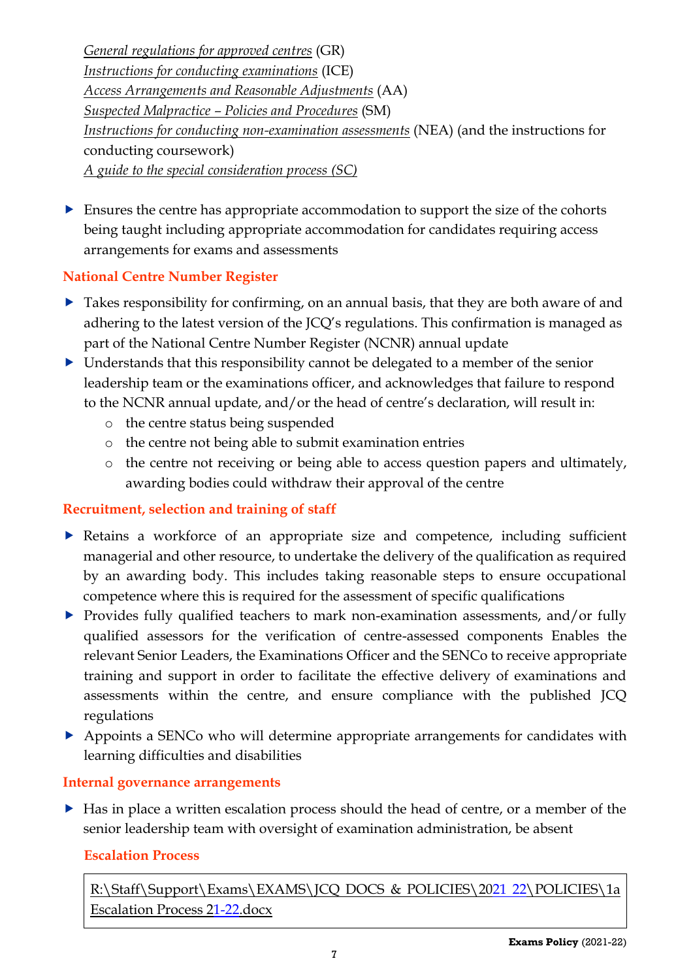*[General regulations for approved centres](http://www.jcq.org.uk/exams-office/general-regulations)* (GR) *[Instructions for conducting examinations](http://www.jcq.org.uk/exams-office/ice---instructions-for-conducting-examinations)* (ICE) *[Access Arrangements and Reasonable Adjustments](http://www.jcq.org.uk/exams-office/access-arrangements-and-special-consideration/regulations-and-guidance)* (AA) *Suspected Malpractice – [Policies and Procedures](http://www.jcq.org.uk/exams-office/malpractice)* (SM) *[Instructions for conducting non-examination assessments](http://www.jcq.org.uk/exams-office/non-examination-assessments)* (NEA) (and the instructions for conducting coursework) *[A guide to the special consideration process](http://www.jcq.org.uk/exams-office/access-arrangements-and-special-consideration/regulations-and-guidance) (SC)*

 Ensures the centre has appropriate accommodation to support the size of the cohorts being taught including appropriate accommodation for candidates requiring access arrangements for exams and assessments

# <span id="page-6-0"></span>**National Centre Number Register**

- ▶ Takes responsibility for confirming, on an annual basis, that they are both aware of and adhering to the latest version of the JCQ's regulations. This confirmation is managed as part of the National Centre Number Register (NCNR) annual update
- Understands that this responsibility cannot be delegated to a member of the senior leadership team or the examinations officer, and acknowledges that failure to respond to the NCNR annual update, and/or the head of centre's declaration, will result in:
	- o the centre status being suspended
	- o the centre not being able to submit examination entries
	- o the centre not receiving or being able to access question papers and ultimately, awarding bodies could withdraw their approval of the centre

# <span id="page-6-1"></span>**Recruitment, selection and training of staff**

- Retains a workforce of an appropriate size and competence, including sufficient managerial and other resource, to undertake the delivery of the qualification as required by an awarding body. This includes taking reasonable steps to ensure occupational competence where this is required for the assessment of specific qualifications
- Provides fully qualified teachers to mark non-examination assessments, and/or fully qualified assessors for the verification of centre-assessed components Enables the relevant Senior Leaders, the Examinations Officer and the SENCo to receive appropriate training and support in order to facilitate the effective delivery of examinations and assessments within the centre, and ensure compliance with the published JCQ regulations
- Appoints a SENCo who will determine appropriate arrangements for candidates with learning difficulties and disabilities

#### <span id="page-6-2"></span>**Internal governance arrangements**

Has in place a written escalation process should the head of centre, or a member of the senior leadership team with oversight of examination administration, be absent

#### <span id="page-6-3"></span>**Escalation Process**

[R:\Staff\Support\Exams\EXAMS\JCQ DOCS & POLICIES\2021](file://///fs-03/RDrive$/Staff/Support/Exams/EXAMS/aaa%20JCQ%20DOCS%20&%20POLICIES/2017%2018/NEW%20POLICIES/1%20%20%20Exam%20contingency%20plan.docx) 22\POLICIES\1a [Escalation Process 21-22.docx](file://///fs-03/RDrive$/Staff/Support/Exams/EXAMS/aaa%20JCQ%20DOCS%20&%20POLICIES/2017%2018/NEW%20POLICIES/1%20%20%20Exam%20contingency%20plan.docx)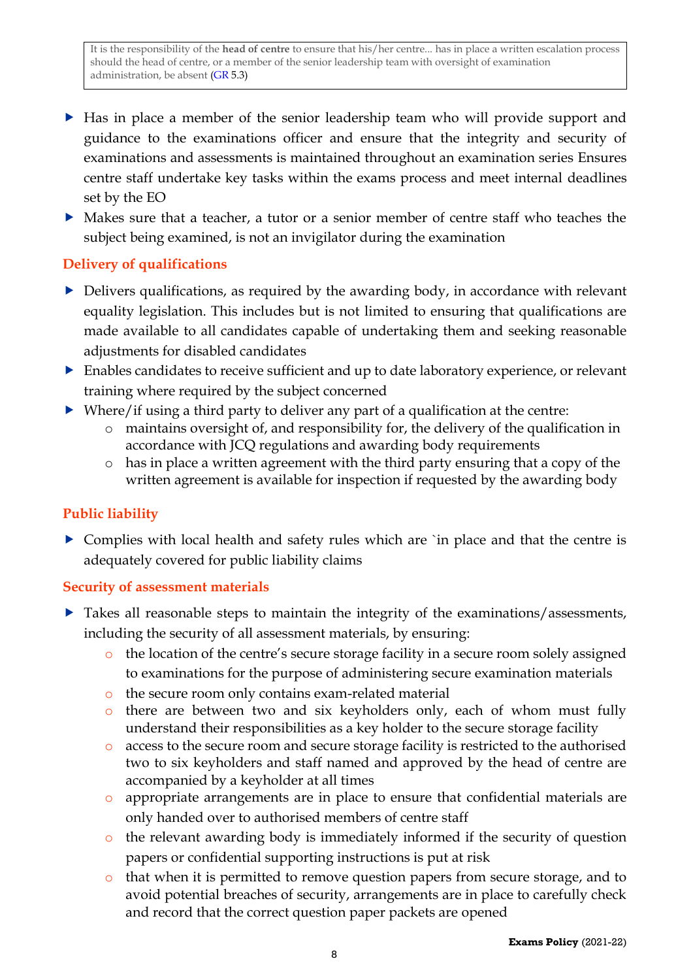- Has in place a member of the senior leadership team who will provide support and guidance to the examinations officer and ensure that the integrity and security of examinations and assessments is maintained throughout an examination series Ensures centre staff undertake key tasks within the exams process and meet internal deadlines set by the EO
- Makes sure that a teacher, a tutor or a senior member of centre staff who teaches the subject being examined, is not an invigilator during the examination

#### <span id="page-7-0"></span>**Delivery of qualifications**

- Delivers qualifications, as required by the awarding body, in accordance with relevant equality legislation. This includes but is not limited to ensuring that qualifications are made available to all candidates capable of undertaking them and seeking reasonable adjustments for disabled candidates
- Enables candidates to receive sufficient and up to date laboratory experience, or relevant training where required by the subject concerned
- Where/if using a third party to deliver any part of a qualification at the centre:
	- o maintains oversight of, and responsibility for, the delivery of the qualification in accordance with JCQ regulations and awarding body requirements
	- o has in place a written agreement with the third party ensuring that a copy of the written agreement is available for inspection if requested by the awarding body

#### <span id="page-7-1"></span>**Public liability**

• Complies with local health and safety rules which are 'in place and that the centre is adequately covered for public liability claims

#### <span id="page-7-2"></span>**Security of assessment materials**

- Takes all reasonable steps to maintain the integrity of the examinations/assessments, including the security of all assessment materials, by ensuring:
	- o the location of the centre's secure storage facility in a secure room solely assigned to examinations for the purpose of administering secure examination materials
	- o the secure room only contains exam-related material
	- o there are between two and six keyholders only, each of whom must fully understand their responsibilities as a key holder to the secure storage facility
	- o access to the secure room and secure storage facility is restricted to the authorised two to six keyholders and staff named and approved by the head of centre are accompanied by a keyholder at all times
	- o appropriate arrangements are in place to ensure that confidential materials are only handed over to authorised members of centre staff
	- o the relevant awarding body is immediately informed if the security of question papers or confidential supporting instructions is put at risk
	- o that when it is permitted to remove question papers from secure storage, and to avoid potential breaches of security, arrangements are in place to carefully check and record that the correct question paper packets are opened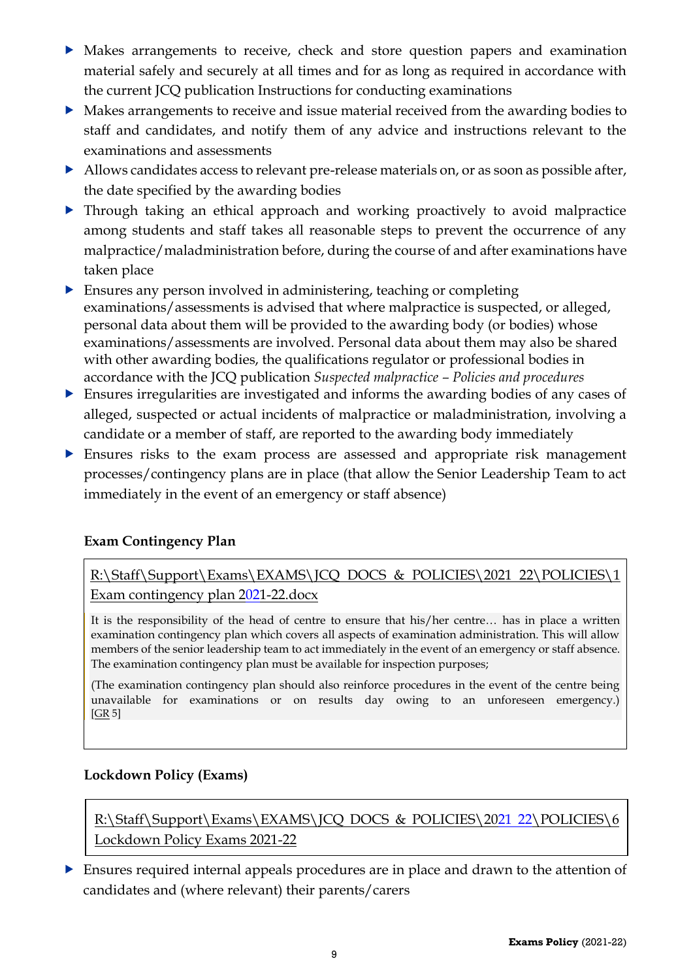- Makes arrangements to receive, check and store question papers and examination material safely and securely at all times and for as long as required in accordance with the current JCQ publication Instructions for conducting examinations
- Makes arrangements to receive and issue material received from the awarding bodies to staff and candidates, and notify them of any advice and instructions relevant to the examinations and assessments
- Allows candidates access to relevant pre-release materials on, or as soon as possible after, the date specified by the awarding bodies
- Through taking an ethical approach and working proactively to avoid malpractice among students and staff takes all reasonable steps to prevent the occurrence of any malpractice/maladministration before, during the course of and after examinations have taken place
- Ensures any person involved in administering, teaching or completing examinations/assessments is advised that where malpractice is suspected, or alleged, personal data about them will be provided to the awarding body (or bodies) whose examinations/assessments are involved. Personal data about them may also be shared with other awarding bodies, the qualifications regulator or professional bodies in accordance with the JCQ publication *Suspected malpractice – Policies and procedures*
- Ensures irregularities are investigated and informs the awarding bodies of any cases of alleged, suspected or actual incidents of malpractice or maladministration, involving a candidate or a member of staff, are reported to the awarding body immediately
- Ensures risks to the exam process are assessed and appropriate risk management processes/contingency plans are in place (that allow the Senior Leadership Team to act immediately in the event of an emergency or staff absence)

#### **Exam Contingency Plan**

[R:\Staff\Support\Exams\EXAMS\JCQ DOCS & POLICIES\2021](file://///fs-03/RDrive$/Staff/Support/Exams/EXAMS/aaa%20JCQ%20DOCS%20&%20POLICIES/2017%2018/NEW%20POLICIES/1%20%20%20Exam%20contingency%20plan.docx) 22\POLICIES\1 [Exam contingency plan 2021-22.docx](file://///fs-03/RDrive$/Staff/Support/Exams/EXAMS/aaa%20JCQ%20DOCS%20&%20POLICIES/2017%2018/NEW%20POLICIES/1%20%20%20Exam%20contingency%20plan.docx)

It is the responsibility of the head of centre to ensure that his/her centre… has in place a written examination contingency plan which covers all aspects of examination administration. This will allow members of the senior leadership team to act immediately in the event of an emergency or staff absence. The examination contingency plan must be available for inspection purposes;

(The examination contingency plan should also reinforce procedures in the event of the centre being unavailable for examinations or on results day owing to an unforeseen emergency.)  $[GR 5]$  $[GR 5]$ 

#### **Lockdown Policy (Exams)**

[R:\Staff\Support\Exams\EXAMS\JCQ DOCS & POLICIES\2021 22\POLICIES\6](file://///fs-03/RDrive$/Staff/Support/Exams/EXAMS/aaa%20JCQ%20DOCS%20&%20POLICIES/2017%2018/NEW%20POLICIES/1%20%20%20Exam%20contingency%20plan.docx) Lockdown Policy Exams 2021-22

 Ensures required internal appeals procedures are in place and drawn to the attention of candidates and (where relevant) their parents/carers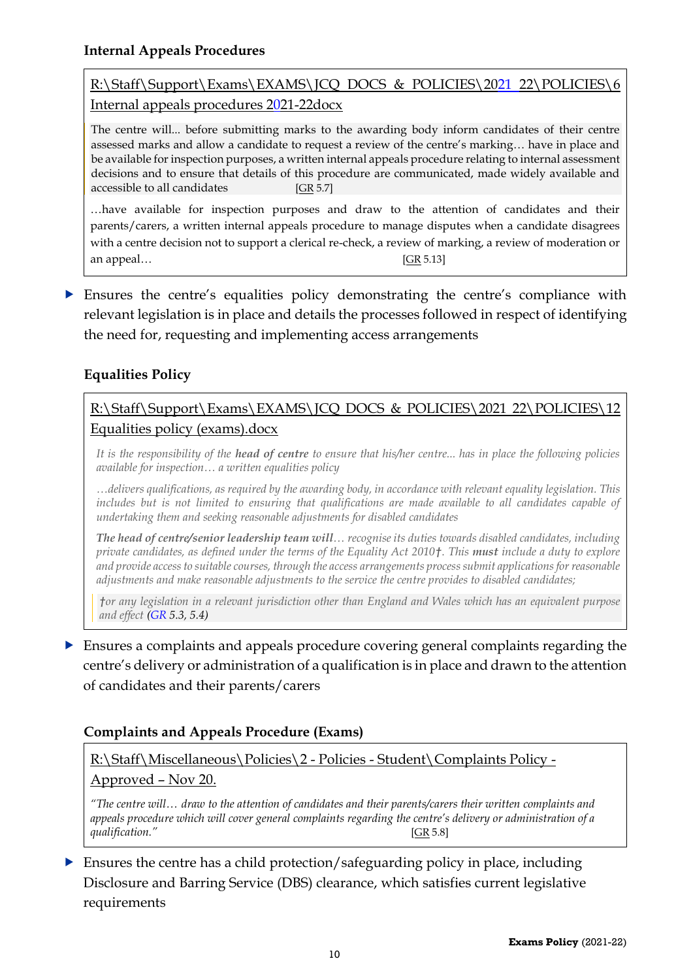# <span id="page-9-0"></span>[R:\Staff\Support\Exams\EXAMS\JCQ DOCS & POLICIES\2021 22\POLICIES\6](file://///fs-03/RDrive$/Staff/Support/Exams/EXAMS/aaa%20JCQ%20DOCS%20&%20POLICIES/2017%2018/NEW%20POLICIES/6%20%20%20Internal%20appeals%20procedures%2017-18.docx)  [Internal appeals procedures 2021-22docx](file://///fs-03/RDrive$/Staff/Support/Exams/EXAMS/aaa%20JCQ%20DOCS%20&%20POLICIES/2017%2018/NEW%20POLICIES/6%20%20%20Internal%20appeals%20procedures%2017-18.docx)

The centre will... before submitting marks to the awarding body inform candidates of their centre assessed marks and allow a candidate to request a review of the centre's marking… have in place and be available for inspection purposes, a written internal appeals procedure relating to internal assessment decisions and to ensure that details of this procedure are communicated, made widely available and accessible to all candidates [\[GR](http://www.jcq.org.uk/exams-office/general-regulations) 5.7]

…have available for inspection purposes and draw to the attention of candidates and their parents/carers, a written internal appeals procedure to manage disputes when a candidate disagrees with a centre decision not to support a clerical re-check, a review of marking, a review of moderation or an appeal…[\[GR](http://www.jcq.org.uk/exams-office/general-regulations) 5.13]

 Ensures the centre's equalities policy demonstrating the centre's compliance with relevant legislation is in place and details the processes followed in respect of identifying the need for, requesting and implementing access arrangements

# <span id="page-9-1"></span>**Equalities Policy**

### [R:\Staff\Support\Exams\EXAMS\JCQ DOCS & POLICIES\2021](file://///fs-03/RDrive$/Staff/Support/Exams/EXAMS/aaa%20JCQ%20DOCS%20&%20POLICIES/2017%2018/NEW%20POLICIES/3%20%20%20Disability%20policy%20(exams).docx) 22\POLICIES\12 [Equalities policy \(exams\).docx](file://///fs-03/RDrive$/Staff/Support/Exams/EXAMS/aaa%20JCQ%20DOCS%20&%20POLICIES/2017%2018/NEW%20POLICIES/3%20%20%20Disability%20policy%20(exams).docx)

*It is the responsibility of the head of centre to ensure that his/her centre... has in place the following policies available for inspection… a written equalities policy*

*…delivers qualifications, as required by the awarding body, in accordance with relevant equality legislation. This includes but is not limited to ensuring that qualifications are made available to all candidates capable of undertaking them and seeking reasonable adjustments for disabled candidates*

*The head of centre/senior leadership team will… recognise its duties towards disabled candidates, including private candidates, as defined under the terms of the Equality Act 2010†. This must include a duty to explore and provide access to suitable courses, through the access arrangements process submit applications for reasonable adjustments and make reasonable adjustments to the service the centre provides to disabled candidates;* 

*†or any legislation in a relevant jurisdiction other than England and Wales which has an equivalent purpose and effect [\(GR](http://www.jcq.org.uk/exams-office/general-regulations) 5.3, 5.4)*

# Ensures a complaints and appeals procedure covering general complaints regarding the centre's delivery or administration of a qualification is in place and drawn to the attention of candidates and their parents/carers

#### <span id="page-9-2"></span>**Complaints and Appeals Procedure (Exams)**

[R:\Staff\Miscellaneous\Policies\2 -](file://///fs-03/RDrive$/Staff/Miscellaneous/Policies/2%20-%20Policies%20-%20Student/Complaints%20Policy%20-%20Approved%20-%20Jun%2019.pdf) Policies - Student\Complaints Policy -

#### [Approved](file://///fs-03/RDrive$/Staff/Miscellaneous/Policies/2%20-%20Policies%20-%20Student/Complaints%20Policy%20-%20Approved%20-%20Jun%2019.pdf) – Nov 20.

*"The centre will… draw to the attention of candidates and their parents/carers their written complaints and appeals procedure which will cover general complaints regarding the centre's delivery or administration of a qualification."* [\[GR](http://www.jcq.org.uk/exams-office/general-regulations) 5.8]

 Ensures the centre has a child protection/safeguarding policy in place, including Disclosure and Barring Service (DBS) clearance, which satisfies current legislative requirements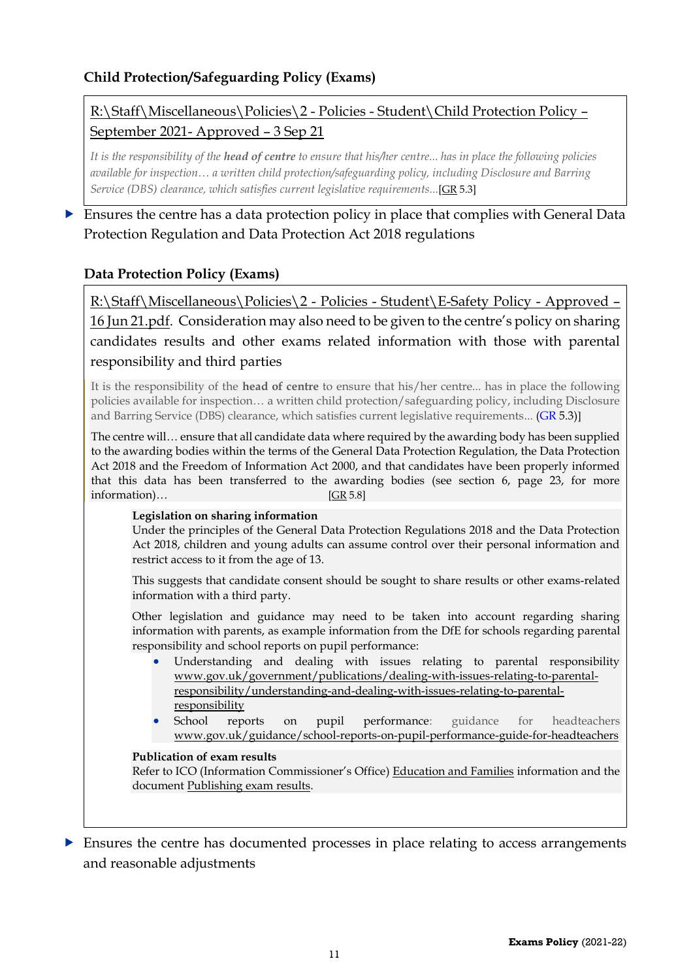#### <span id="page-10-0"></span>**Child Protection/Safeguarding Policy (Exams)**

# [R:\Staff\Miscellaneous\Policies\2 -](file://///fs-03/RDrive$/Staff/Miscellaneous/Policies/2%20-%20Policies%20-%20Student/Child%20Protection%20Policy%20-%20Approved%20-%204%20Dec%2017.pdf) Policies - Student\Child Protection Policy – [September 2021-](file://///fs-03/RDrive$/Staff/Miscellaneous/Policies/2%20-%20Policies%20-%20Student/Child%20Protection%20Policy%20-%20Approved%20-%204%20Dec%2017.pdf) Approved – 3 Sep 21

*It is the responsibility of the head of centre to ensure that his/her centre... has in place the following policies available for inspection… a written child protection/safeguarding policy, including Disclosure and Barring Service (DBS) clearance, which satisfies current legislative requirements...*[\[GR](http://www.jcq.org.uk/exams-office/general-regulations) 5.3]

 Ensures the centre has a data protection policy in place that complies with General Data Protection Regulation and Data Protection Act 2018 regulations

#### <span id="page-10-1"></span>**Data Protection Policy (Exams)**

[R:\Staff\Miscellaneous\Policies\2 -](file://///fs-03/RDrive$/Staff/Miscellaneous/Policies/2%20-%20Policies%20-%20Student/E-Safety%20Policy%20-%20Approved%20-%20Mar%2016.pdf) Policies - Student\E-Safety Policy - Approved – [16 Jun 21.pdf.](file://///fs-03/RDrive$/Staff/Miscellaneous/Policies/2%20-%20Policies%20-%20Student/E-Safety%20Policy%20-%20Approved%20-%20Mar%2016.pdf) Consideration may also need to be given to the centre's policy on sharing candidates results and other exams related information with those with parental responsibility and third parties

It is the responsibility of the **head of centre** to ensure that his/her centre... has in place the following policies available for inspection… a written child protection/safeguarding policy, including Disclosure and Barring Service (DBS) clearance, which satisfies current legislative requirements... [\(GR](http://www.jcq.org.uk/exams-office/general-regulations) 5.3)]

The centre will… ensure that all candidate data where required by the awarding body has been supplied to the awarding bodies within the terms of the General Data Protection Regulation, the Data Protection Act 2018 and the Freedom of Information Act 2000, and that candidates have been properly informed that this data has been transferred to the awarding bodies (see section 6, page 23, for more information)… [\[GR](http://www.jcq.org.uk/exams-office/general-regulations) 5.8]

#### **Legislation on sharing information**

Under the principles of the General Data Protection Regulations 2018 and the Data Protection Act 2018, children and young adults can assume control over their personal information and restrict access to it from the age of 13.

This suggests that candidate consent should be sought to share results or other exams-related information with a third party.

Other legislation and guidance may need to be taken into account regarding sharing information with parents, as example information from the DfE for schools regarding parental responsibility and school reports on pupil performance:

- Understanding and dealing with issues relating to parental responsibility [www.gov.uk/government/publications/dealing-with-issues-relating-to-parental](https://www.gov.uk/government/publications/dealing-with-issues-relating-to-parental-responsibility/understanding-and-dealing-with-issues-relating-to-parental-responsibility)[responsibility/understanding-and-dealing-with-issues-relating-to-parental](https://www.gov.uk/government/publications/dealing-with-issues-relating-to-parental-responsibility/understanding-and-dealing-with-issues-relating-to-parental-responsibility)[responsibility](https://www.gov.uk/government/publications/dealing-with-issues-relating-to-parental-responsibility/understanding-and-dealing-with-issues-relating-to-parental-responsibility)
- School reports on pupil performance: guidance for headteachers [www.gov.uk/guidance/school-reports-on-pupil-performance-guide-for-headteachers](https://www.gov.uk/guidance/school-reports-on-pupil-performance-guide-for-headteachers)

#### **Publication of exam results**

Refer to ICO (Information Commissioner's Office) [Education and Families](https://ico.org.uk/for-organisations/education/) information and the document [Publishing exam results.](https://ico.org.uk/for-organisations/education/)

 Ensures the centre has documented processes in place relating to access arrangements and reasonable adjustments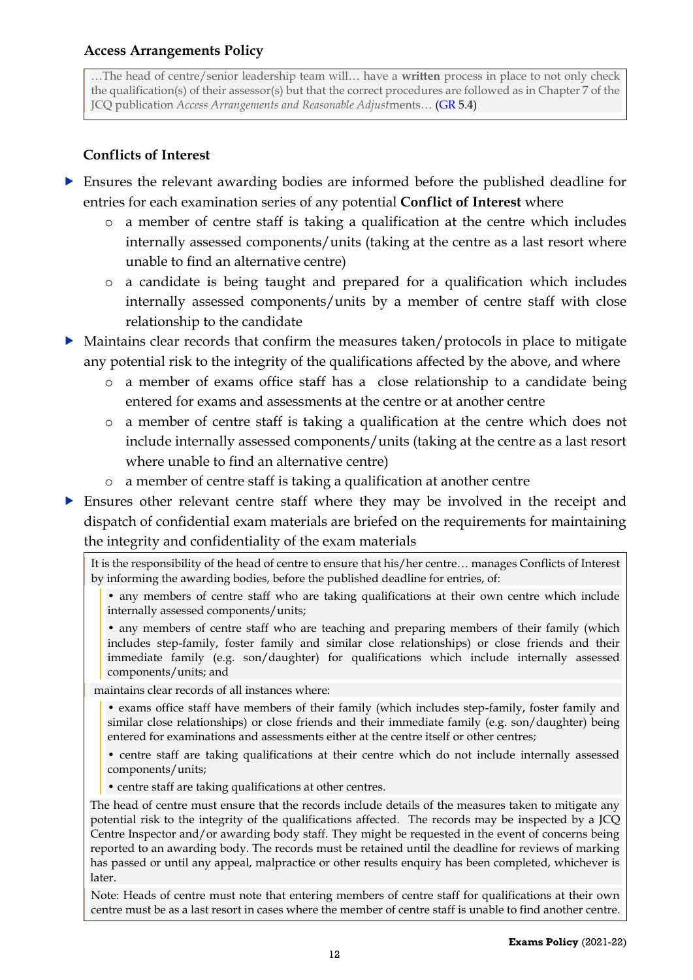<span id="page-11-0"></span>…The head of centre/senior leadership team will… have a **written** process in place to not only check the qualification(s) of their assessor(s) but that the correct procedures are followed as in Chapter 7 of the JCQ publication *Access Arrangements and Reasonable Adjust*ments… [\(GR](http://www.jcq.org.uk/exams-office/general-regulations) 5.4)

### **Conflicts of Interest**

- <span id="page-11-1"></span> Ensures the relevant awarding bodies are informed before the published deadline for entries for each examination series of any potential **Conflict of Interest** where
	- o a member of centre staff is taking a qualification at the centre which includes internally assessed components/units (taking at the centre as a last resort where unable to find an alternative centre)
	- o a candidate is being taught and prepared for a qualification which includes internally assessed components/units by a member of centre staff with close relationship to the candidate
- Maintains clear records that confirm the measures taken/protocols in place to mitigate any potential risk to the integrity of the qualifications affected by the above, and where
	- o a member of exams office staff has a close relationship to a candidate being entered for exams and assessments at the centre or at another centre
	- o a member of centre staff is taking a qualification at the centre which does not include internally assessed components/units (taking at the centre as a last resort where unable to find an alternative centre)
	- o a member of centre staff is taking a qualification at another centre
- Ensures other relevant centre staff where they may be involved in the receipt and dispatch of confidential exam materials are briefed on the requirements for maintaining the integrity and confidentiality of the exam materials

It is the responsibility of the head of centre to ensure that his/her centre… manages Conflicts of Interest by informing the awarding bodies, before the published deadline for entries, of:

• any members of centre staff who are taking qualifications at their own centre which include internally assessed components/units;

• any members of centre staff who are teaching and preparing members of their family (which includes step-family, foster family and similar close relationships) or close friends and their immediate family (e.g. son/daughter) for qualifications which include internally assessed components/units; and

maintains clear records of all instances where:

- exams office staff have members of their family (which includes step-family, foster family and similar close relationships) or close friends and their immediate family (e.g. son/daughter) being entered for examinations and assessments either at the centre itself or other centres;
- centre staff are taking qualifications at their centre which do not include internally assessed components/units;
- centre staff are taking qualifications at other centres.

The head of centre must ensure that the records include details of the measures taken to mitigate any potential risk to the integrity of the qualifications affected. The records may be inspected by a JCQ Centre Inspector and/or awarding body staff. They might be requested in the event of concerns being reported to an awarding body. The records must be retained until the deadline for reviews of marking has passed or until any appeal, malpractice or other results enquiry has been completed, whichever is later.

Note: Heads of centre must note that entering members of centre staff for qualifications at their own centre must be as a last resort in cases where the member of centre staff is unable to find another centre.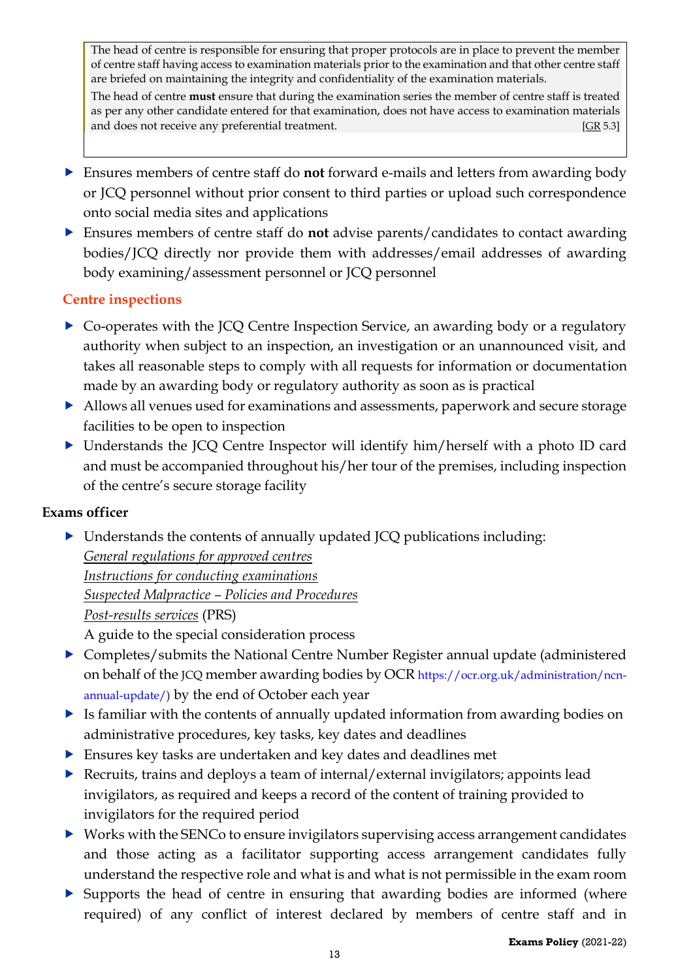The head of centre is responsible for ensuring that proper protocols are in place to prevent the member of centre staff having access to examination materials prior to the examination and that other centre staff are briefed on maintaining the integrity and confidentiality of the examination materials.

The head of centre **must** ensure that during the examination series the member of centre staff is treated as per any other candidate entered for that examination, does not have access to examination materials and does not receive any preferential treatment.[\[GR](http://www.jcq.org.uk/exams-office/general-regulations) 5.3]

- Ensures members of centre staff do **not** forward e-mails and letters from awarding body or JCQ personnel without prior consent to third parties or upload such correspondence onto social media sites and applications
- Ensures members of centre staff do **not** advise parents/candidates to contact awarding bodies/JCQ directly nor provide them with addresses/email addresses of awarding body examining/assessment personnel or JCQ personnel

#### <span id="page-12-0"></span>**Centre inspections**

- ▶ Co-operates with the JCQ Centre Inspection Service, an awarding body or a regulatory authority when subject to an inspection, an investigation or an unannounced visit, and takes all reasonable steps to comply with all requests for information or documentation made by an awarding body or regulatory authority as soon as is practical
- Allows all venues used for examinations and assessments, paperwork and secure storage facilities to be open to inspection
- Understands the JCQ Centre Inspector will identify him/herself with a photo ID card and must be accompanied throughout his/her tour of the premises, including inspection of the centre's secure storage facility

#### **Exams officer**

 Understands the contents of annually updated JCQ publications including: *[General regulations for approved centres](http://www.jcq.org.uk/exams-office/general-regulations) [Instructions for conducting examinations](http://www.jcq.org.uk/exams-office/ice---instructions-for-conducting-examinations) Suspected Malpractice – [Policies and Procedures](http://www.jcq.org.uk/exams-office/malpractice) [Post-results services](http://www.jcq.org.uk/exams-office/post-results-services)* (PRS)

A guide to the special consideration process

- Completes/submits the National Centre Number Register annual update (administered on behalf of the JCQ member awarding bodies by OCR [https://ocr.org.uk/administration/ncn](https://ocr.org.uk/administration/ncn-annual-update/)[annual-update/\)](https://ocr.org.uk/administration/ncn-annual-update/) by the end of October each year
- Is familiar with the contents of annually updated information from awarding bodies on administrative procedures, key tasks, key dates and deadlines
- Ensures key tasks are undertaken and key dates and deadlines met
- Recruits, trains and deploys a team of internal/external invigilators; appoints lead invigilators, as required and keeps a record of the content of training provided to invigilators for the required period
- $\triangleright$  Works with the SENCo to ensure invigilators supervising access arrangement candidates and those acting as a facilitator supporting access arrangement candidates fully understand the respective role and what is and what is not permissible in the exam room
- Supports the head of centre in ensuring that awarding bodies are informed (where required) of any conflict of interest declared by members of centre staff and in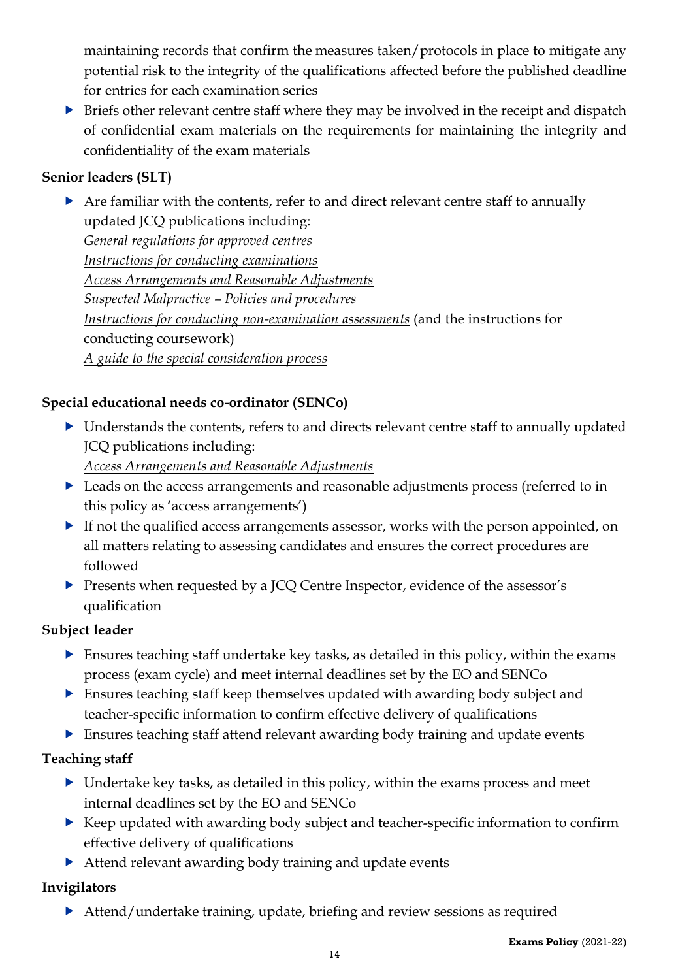maintaining records that confirm the measures taken/protocols in place to mitigate any potential risk to the integrity of the qualifications affected before the published deadline for entries for each examination series

 $\triangleright$  Briefs other relevant centre staff where they may be involved in the receipt and dispatch of confidential exam materials on the requirements for maintaining the integrity and confidentiality of the exam materials

### **Senior leaders (SLT)**

 Are familiar with the contents, refer to and direct relevant centre staff to annually updated JCQ publications including: *[General regulations for approved centres](http://www.jcq.org.uk/exams-office/general-regulations) [Instructions for conducting examinations](http://www.jcq.org.uk/exams-office/ice---instructions-for-conducting-examinations) [Access Arrangements and Reasonable Adjustments](http://www.jcq.org.uk/exams-office/access-arrangements-and-special-consideration/regulations-and-guidance) Suspected Malpractice – [Policies and procedures](http://www.jcq.org.uk/exams-office/malpractice) [Instructions for conducting non-examination assessments](http://www.jcq.org.uk/exams-office/non-examination-assessments)* (and the instructions for conducting coursework) *[A guide to the special consideration process](http://www.jcq.org.uk/exams-office/access-arrangements-and-special-consideration/regulations-and-guidance)*

# **Special educational needs co-ordinator (SENCo)**

 Understands the contents, refers to and directs relevant centre staff to annually updated JCQ publications including:

*[Access Arrangements and Reasonable Adjustments](http://www.jcq.org.uk/exams-office/access-arrangements-and-special-consideration/regulations-and-guidance)*

- Leads on the access arrangements and reasonable adjustments process (referred to in this policy as 'access arrangements')
- If not the qualified access arrangements assessor, works with the person appointed, on all matters relating to assessing candidates and ensures the correct procedures are followed
- Presents when requested by a JCQ Centre Inspector, evidence of the assessor's qualification

#### **Subject leader**

- Ensures teaching staff undertake key tasks, as detailed in this policy, within the exams process (exam cycle) and meet internal deadlines set by the EO and SENCo
- Ensures teaching staff keep themselves updated with awarding body subject and teacher-specific information to confirm effective delivery of qualifications
- Ensures teaching staff attend relevant awarding body training and update events

#### **Teaching staff**

- Undertake key tasks, as detailed in this policy, within the exams process and meet internal deadlines set by the EO and SENCo
- Keep updated with awarding body subject and teacher-specific information to confirm effective delivery of qualifications
- ▶ Attend relevant awarding body training and update events

# **Invigilators**

Attend/undertake training, update, briefing and review sessions as required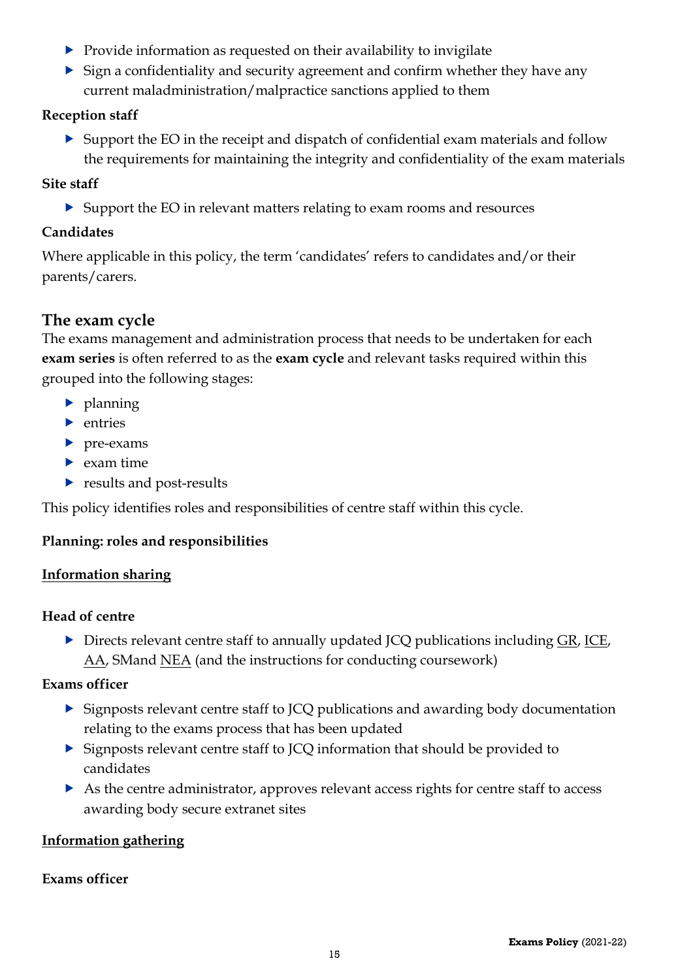- $\triangleright$  Provide information as requested on their availability to invigilate
- $\triangleright$  Sign a confidentiality and security agreement and confirm whether they have any current maladministration/malpractice sanctions applied to them

#### **Reception staff**

 Support the EO in the receipt and dispatch of confidential exam materials and follow the requirements for maintaining the integrity and confidentiality of the exam materials

#### **Site staff**

Support the EO in relevant matters relating to exam rooms and resources

### **Candidates**

Where applicable in this policy, the term 'candidates' refers to candidates and/or their parents/carers.

# <span id="page-14-0"></span>**The exam cycle**

The exams management and administration process that needs to be undertaken for each **exam series** is often referred to as the **exam cycle** and relevant tasks required within this grouped into the following stages:

- $\blacktriangleright$  planning
- $\blacktriangleright$  entries
- pre-exams
- $\blacktriangleright$  exam time
- results and post-results

This policy identifies roles and responsibilities of centre staff within this cycle.

#### <span id="page-14-1"></span>**Planning: roles and responsibilities**

#### <span id="page-14-2"></span>**Information sharing**

#### **Head of centre**

Directs relevant centre staff to annually updated JCQ publications including [GR,](http://www.jcq.org.uk/exams-office/general-regulations) [ICE,](http://www.jcq.org.uk/exams-office/ice---instructions-for-conducting-examinations) [AA,](http://www.jcq.org.uk/exams-office/access-arrangements-and-special-consideration) SMand [NEA](http://www.jcq.org.uk/exams-office/non-examination-assessments) (and the instructions for conducting coursework)

#### **Exams officer**

- Signposts relevant centre staff to JCQ publications and awarding body documentation relating to the exams process that has been updated
- Signposts relevant centre staff to JCQ information that should be provided to candidates
- As the centre administrator, approves relevant access rights for centre staff to access awarding body secure extranet sites

#### <span id="page-14-3"></span>**Information gathering**

#### **Exams officer**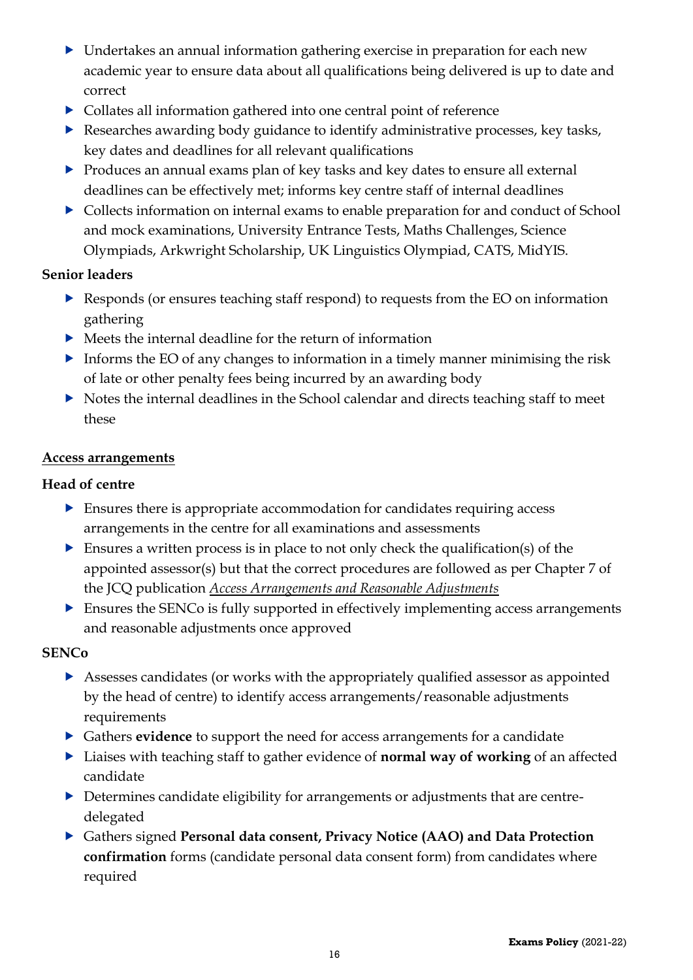- Undertakes an annual information gathering exercise in preparation for each new academic year to ensure data about all qualifications being delivered is up to date and correct
- Collates all information gathered into one central point of reference
- Researches awarding body guidance to identify administrative processes, key tasks, key dates and deadlines for all relevant qualifications
- Produces an annual exams plan of key tasks and key dates to ensure all external deadlines can be effectively met; informs key centre staff of internal deadlines
- Collects information on internal exams to enable preparation for and conduct of School and mock examinations, University Entrance Tests, Maths Challenges, Science Olympiads, Arkwright Scholarship, UK Linguistics Olympiad, CATS, MidYIS.

#### **Senior leaders**

- Responds (or ensures teaching staff respond) to requests from the EO on information gathering
- $\blacktriangleright$  Meets the internal deadline for the return of information
- Informs the EO of any changes to information in a timely manner minimising the risk of late or other penalty fees being incurred by an awarding body
- $\triangleright$  Notes the internal deadlines in the School calendar and directs teaching staff to meet these

#### <span id="page-15-0"></span>**Access arrangements**

#### **Head of centre**

- Ensures there is appropriate accommodation for candidates requiring access arrangements in the centre for all examinations and assessments
- Ensures a written process is in place to not only check the qualification(s) of the appointed assessor(s) but that the correct procedures are followed as per Chapter 7 of the JCQ publication *[Access Arrangements and Reasonable Adjustments](http://www.jcq.org.uk/exams-office/access-arrangements-and-special-consideration/regulations-and-guidance)*
- $\triangleright$  Ensures the SENCo is fully supported in effectively implementing access arrangements and reasonable adjustments once approved

#### **SENCo**

- Assesses candidates (or works with the appropriately qualified assessor as appointed by the head of centre) to identify access arrangements/reasonable adjustments requirements
- Gathers **evidence** to support the need for access arrangements for a candidate
- ▶ Liaises with teaching staff to gather evidence of **normal way of working** of an affected candidate
- Determines candidate eligibility for arrangements or adjustments that are centredelegated
- Gathers signed **Personal data consent, Privacy Notice (AAO) and Data Protection confirmation** forms (candidate personal data consent form) from candidates where required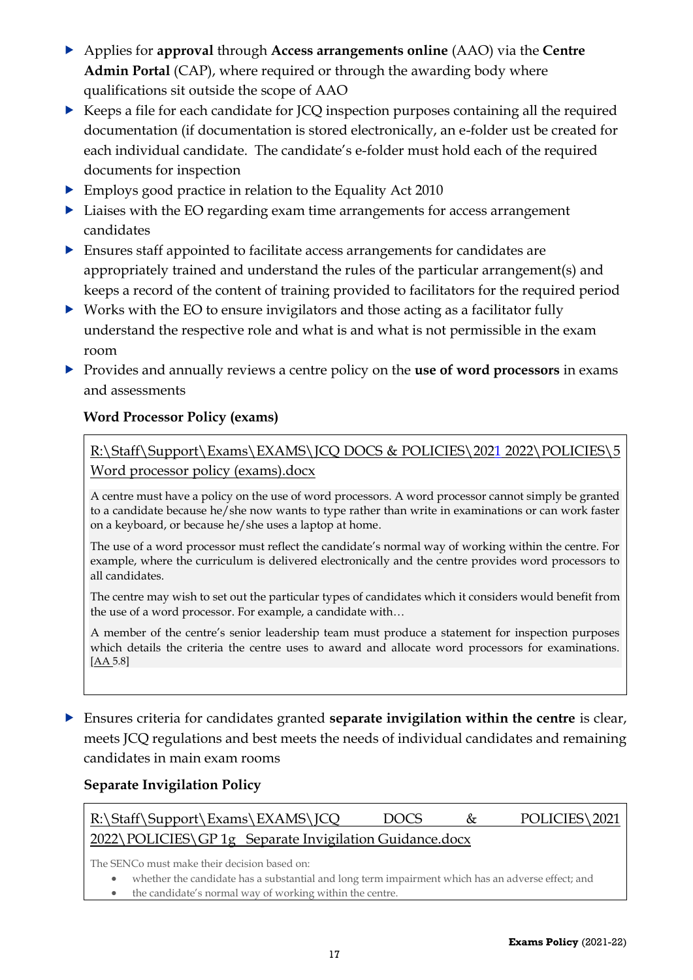- Applies for **approval** through **Access arrangements online** (AAO) via the **Centre Admin Portal** (CAP), where required or through the awarding body where qualifications sit outside the scope of AAO
- Keeps a file for each candidate for JCQ inspection purposes containing all the required documentation (if documentation is stored electronically, an e-folder ust be created for each individual candidate. The candidate's e-folder must hold each of the required documents for inspection
- Employs good practice in relation to the Equality Act 2010
- ▶ Liaises with the EO regarding exam time arrangements for access arrangement candidates
- Ensures staff appointed to facilitate access arrangements for candidates are appropriately trained and understand the rules of the particular arrangement(s) and keeps a record of the content of training provided to facilitators for the required period
- ▶ Works with the EO to ensure invigilators and those acting as a facilitator fully understand the respective role and what is and what is not permissible in the exam room
- Provides and annually reviews a centre policy on the **use of word processors** in exams and assessments

#### <span id="page-16-0"></span>**Word Processor Policy (exams)**

[R:\Staff\Support\Exams\EXAMS\JCQ DOCS & POLICIES\2021](file://///fs-03/RDrive$/Staff/Support/Exams/EXAMS/JCQ%20DOCS%20&%20POLICIES/2017%2018/NEW%20POLICIES/7%20%20%20GP1%20%20%20Word%20processor%20policy%20(exams).docx) 2022\POLICIES\5 [Word processor policy \(exams\).docx](file://///fs-03/RDrive$/Staff/Support/Exams/EXAMS/JCQ%20DOCS%20&%20POLICIES/2017%2018/NEW%20POLICIES/7%20%20%20GP1%20%20%20Word%20processor%20policy%20(exams).docx)

A centre must have a policy on the use of word processors. A word processor cannot simply be granted to a candidate because he/she now wants to type rather than write in examinations or can work faster on a keyboard, or because he/she uses a laptop at home.

The use of a word processor must reflect the candidate's normal way of working within the centre. For example, where the curriculum is delivered electronically and the centre provides word processors to all candidates.

The centre may wish to set out the particular types of candidates which it considers would benefit from the use of a word processor. For example, a candidate with…

A member of the centre's senior leadership team must produce a statement for inspection purposes which details the criteria the centre uses to award and allocate word processors for examinations. [\[AA](http://www.jcq.org.uk/exams-office/access-arrangements-and-special-consideration) 5.8]

 Ensures criteria for candidates granted **separate invigilation within the centre** is clear, meets JCQ regulations and best meets the needs of individual candidates and remaining candidates in main exam rooms

#### <span id="page-16-1"></span>**Separate Invigilation Policy**

| R:\Staff\Support\Exams\EXAMS\JCQ                        |  | <b>DOCS</b> |  | POLICIES\2021 |  |  |  |
|---------------------------------------------------------|--|-------------|--|---------------|--|--|--|
| 2022\POLICIES\GP 1g Separate Invigilation Guidance.docx |  |             |  |               |  |  |  |

The SENCo must make their decision based on:

- whether the candidate has a substantial and long term impairment which has an adverse effect; and
- the candidate's normal way of working within the centre.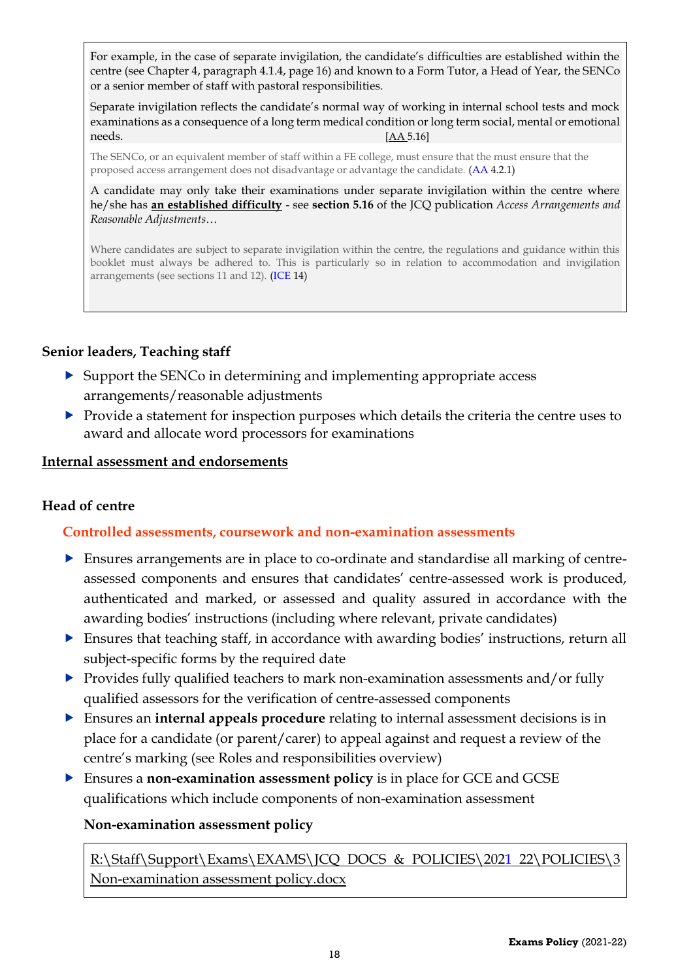For example, in the case of separate invigilation, the candidate's difficulties are established within the centre (see Chapter 4, paragraph 4.1.4, page 16) and known to a Form Tutor, a Head of Year, the SENCo or a senior member of staff with pastoral responsibilities.

Separate invigilation reflects the candidate's normal way of working in internal school tests and mock examinations as a consequence of a long term medical condition or long term social, mental or emotional needs. *[\[AA](http://www.jcq.org.uk/exams-office/access-arrangements-and-special-consideration) 5.16]* 

The SENCo, or an equivalent member of staff within a FE college, must ensure that the must ensure that the proposed access arrangement does not disadvantage or advantage the candidate. [\(AA](http://www.jcq.org.uk/exams-office/access-arrangements-and-special-consideration) 4.2.1)

A candidate may only take their examinations under separate invigilation within the centre where he/she has **an established difficulty** - see **section 5.16** of the JCQ publication *Access Arrangements and Reasonable Adjustments*…

Where candidates are subject to separate invigilation within the centre, the regulations and guidance within this booklet must always be adhered to. This is particularly so in relation to accommodation and invigilation arrangements (see sections 11 and 12). [\(ICE](http://www.jcq.org.uk/exams-office/ice---instructions-for-conducting-examinations) 14)

#### **Senior leaders, Teaching staff**

- $\triangleright$  Support the SENCo in determining and implementing appropriate access arrangements/reasonable adjustments
- Provide a statement for inspection purposes which details the criteria the centre uses to award and allocate word processors for examinations

#### <span id="page-17-0"></span>**Internal assessment and endorsements**

#### <span id="page-17-1"></span>**Head of centre**

#### **Controlled assessments, coursework and non-examination assessments**

- Ensures arrangements are in place to co-ordinate and standardise all marking of centreassessed components and ensures that candidates' centre-assessed work is produced, authenticated and marked, or assessed and quality assured in accordance with the awarding bodies' instructions (including where relevant, private candidates)
- Ensures that teaching staff, in accordance with awarding bodies' instructions, return all subject-specific forms by the required date
- Provides fully qualified teachers to mark non-examination assessments and/or fully qualified assessors for the verification of centre-assessed components
- Ensures an **internal appeals procedure** relating to internal assessment decisions is in place for a candidate (or parent/carer) to appeal against and request a review of the centre's marking (see Roles and responsibilities overview)
- Ensures a **non-examination assessment policy** is in place for GCE and GCSE qualifications which include components of non-examination assessment

#### <span id="page-17-2"></span>**Non-examination assessment policy**

[R:\Staff\Support\Exams\EXAMS\JCQ DOCS & POLICIES\2021](file://///fs-03/RDrive$/Staff/Support/Exams/EXAMS/JCQ%20DOCS%20&%20POLICIES/2017%2018/NEW%20POLICIES/4%20%20%20Non-examination%20assessment%20policy.docx) 22\POLICIES\3 [Non-examination assessment policy.docx](file://///fs-03/RDrive$/Staff/Support/Exams/EXAMS/JCQ%20DOCS%20&%20POLICIES/2017%2018/NEW%20POLICIES/4%20%20%20Non-examination%20assessment%20policy.docx)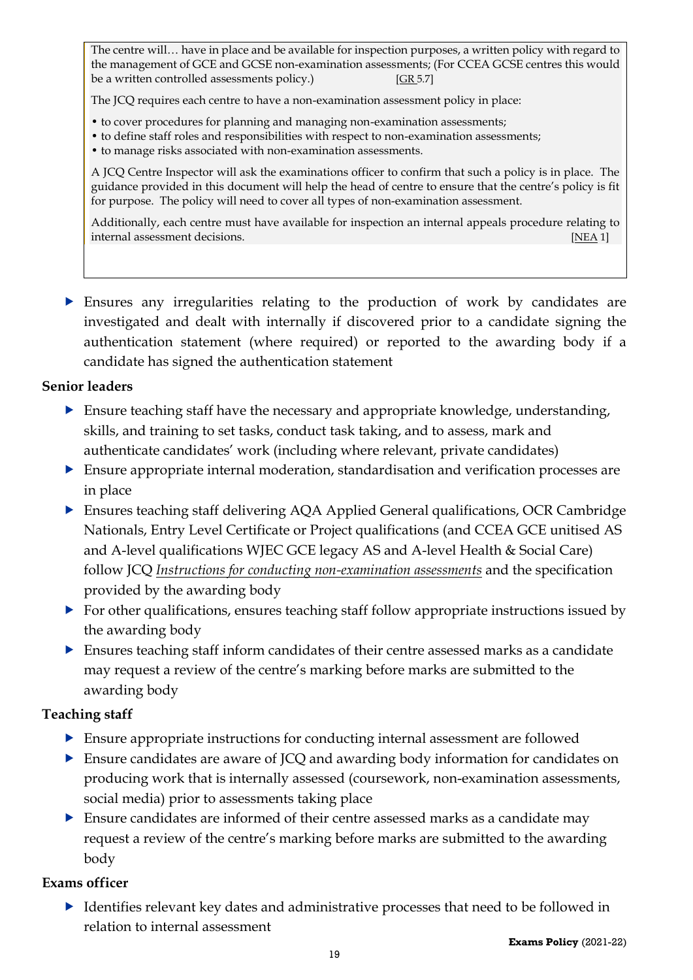The centre will… have in place and be available for inspection purposes, a written policy with regard to the management of GCE and GCSE non-examination assessments; (For CCEA GCSE centres this would be a written controlled assessments policy.) [\[GR](http://www.jcq.org.uk/exams-office/general-regulations) 5.7]

The JCQ requires each centre to have a non-examination assessment policy in place:

- to cover procedures for planning and managing non-examination assessments;
- to define staff roles and responsibilities with respect to non-examination assessments;
- to manage risks associated with non-examination assessments.

A JCQ Centre Inspector will ask the examinations officer to confirm that such a policy is in place. The guidance provided in this document will help the head of centre to ensure that the centre's policy is fit for purpose. The policy will need to cover all types of non-examination assessment.

Additionally, each centre must have available for inspection an internal appeals procedure relating to internal assessment decisions. [\[NEA](https://www.jcq.org.uk/exams-office/non-examination-assessments) 1]

 Ensures any irregularities relating to the production of work by candidates are investigated and dealt with internally if discovered prior to a candidate signing the authentication statement (where required) or reported to the awarding body if a candidate has signed the authentication statement

#### **Senior leaders**

- **Ensure teaching staff have the necessary and appropriate knowledge, understanding,** skills, and training to set tasks, conduct task taking, and to assess, mark and authenticate candidates' work (including where relevant, private candidates)
- Ensure appropriate internal moderation, standardisation and verification processes are in place
- Ensures teaching staff delivering AQA Applied General qualifications, OCR Cambridge Nationals, Entry Level Certificate or Project qualifications (and CCEA GCE unitised AS and A-level qualifications WJEC GCE legacy AS and A-level Health & Social Care) follow JCQ *[Instructions for conducting non-examination assessments](http://www.jcq.org.uk/exams-office/non-examination-assessments)* and the specification provided by the awarding body
- ▶ For other qualifications, ensures teaching staff follow appropriate instructions issued by the awarding body
- Ensures teaching staff inform candidates of their centre assessed marks as a candidate may request a review of the centre's marking before marks are submitted to the awarding body

#### **Teaching staff**

- Ensure appropriate instructions for conducting internal assessment are followed
- Ensure candidates are aware of JCQ and awarding body information for candidates on producing work that is internally assessed (coursework, non-examination assessments, social media) prior to assessments taking place
- Ensure candidates are informed of their centre assessed marks as a candidate may request a review of the centre's marking before marks are submitted to the awarding body

#### **Exams officer**

 Identifies relevant key dates and administrative processes that need to be followed in relation to internal assessment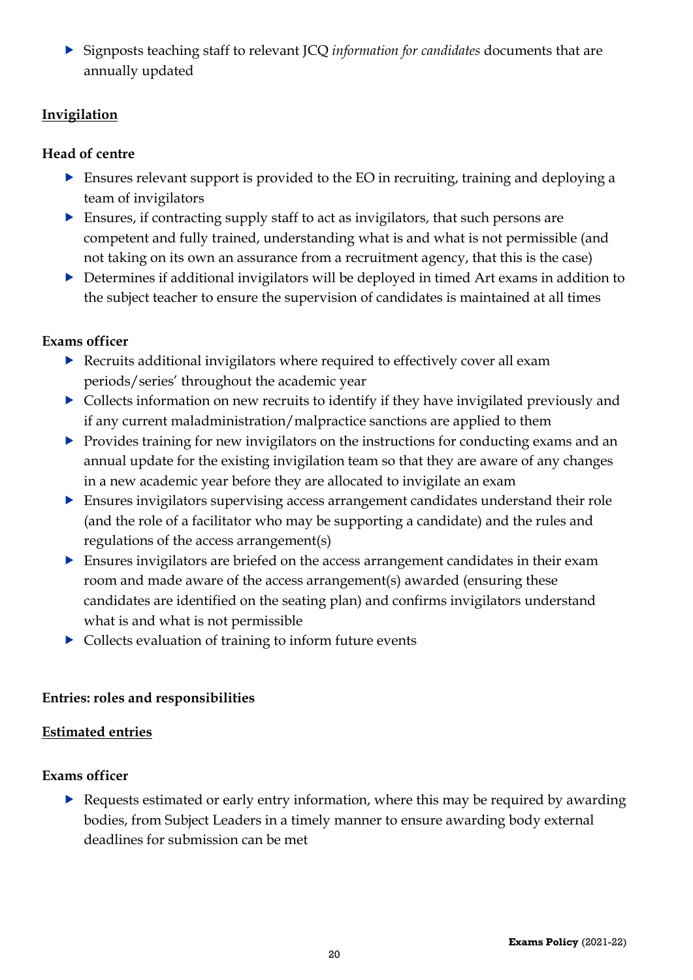Signposts teaching staff to relevant JCQ *information for candidates* documents that are annually updated

#### <span id="page-19-0"></span>**Invigilation**

#### **Head of centre**

- Ensures relevant support is provided to the EO in recruiting, training and deploying a team of invigilators
- Ensures, if contracting supply staff to act as invigilators, that such persons are competent and fully trained, understanding what is and what is not permissible (and not taking on its own an assurance from a recruitment agency, that this is the case)
- Determines if additional invigilators will be deployed in timed Art exams in addition to the subject teacher to ensure the supervision of candidates is maintained at all times

#### **Exams officer**

- Recruits additional invigilators where required to effectively cover all exam periods/series' throughout the academic year
- Collects information on new recruits to identify if they have invigilated previously and if any current maladministration/malpractice sanctions are applied to them
- **Provides training for new invigilators on the instructions for conducting exams and an** annual update for the existing invigilation team so that they are aware of any changes in a new academic year before they are allocated to invigilate an exam
- Ensures invigilators supervising access arrangement candidates understand their role (and the role of a facilitator who may be supporting a candidate) and the rules and regulations of the access arrangement(s)
- Ensures invigilators are briefed on the access arrangement candidates in their exam room and made aware of the access arrangement(s) awarded (ensuring these candidates are identified on the seating plan) and confirms invigilators understand what is and what is not permissible
- Collects evaluation of training to inform future events

#### <span id="page-19-1"></span>**Entries: roles and responsibilities**

#### <span id="page-19-2"></span>**Estimated entries**

#### **Exams officer**

 Requests estimated or early entry information, where this may be required by awarding bodies, from Subject Leaders in a timely manner to ensure awarding body external deadlines for submission can be met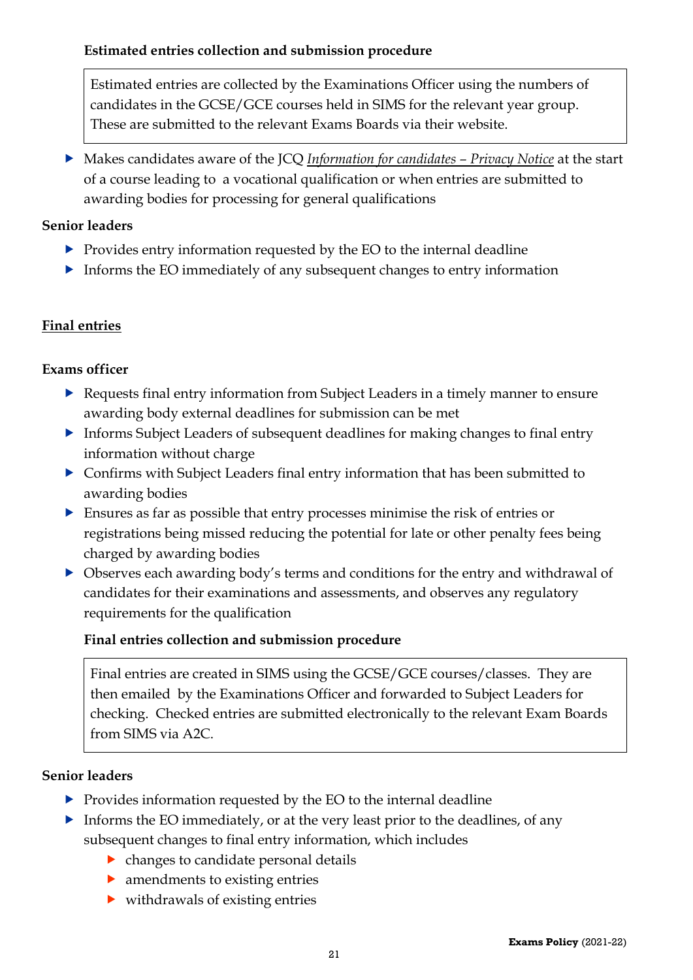<span id="page-20-0"></span>Estimated entries are collected by the Examinations Officer using the numbers of candidates in the GCSE/GCE courses held in SIMS for the relevant year group. These are submitted to the relevant Exams Boards via their website.

 Makes candidates aware of the JCQ *Information for candidates – Privacy Notice* at the start of a course leading to a vocational qualification or when entries are submitted to awarding bodies for processing for general qualifications

### **Senior leaders**

- $\triangleright$  Provides entry information requested by the EO to the internal deadline
- Informs the EO immediately of any subsequent changes to entry information

# <span id="page-20-1"></span>**Final entries**

#### **Exams officer**

- Requests final entry information from Subject Leaders in a timely manner to ensure awarding body external deadlines for submission can be met
- Informs Subject Leaders of subsequent deadlines for making changes to final entry information without charge
- Confirms with Subject Leaders final entry information that has been submitted to awarding bodies
- Ensures as far as possible that entry processes minimise the risk of entries or registrations being missed reducing the potential for late or other penalty fees being charged by awarding bodies
- Observes each awarding body's terms and conditions for the entry and withdrawal of candidates for their examinations and assessments, and observes any regulatory requirements for the qualification

# <span id="page-20-2"></span>**Final entries collection and submission procedure**

Final entries are created in SIMS using the GCSE/GCE courses/classes. They are then emailed by the Examinations Officer and forwarded to Subject Leaders for checking. Checked entries are submitted electronically to the relevant Exam Boards from SIMS via A2C.

#### **Senior leaders**

- $\triangleright$  Provides information requested by the EO to the internal deadline
- Informs the EO immediately, or at the very least prior to the deadlines, of any subsequent changes to final entry information, which includes
	- changes to candidate personal details
	- amendments to existing entries
	- withdrawals of existing entries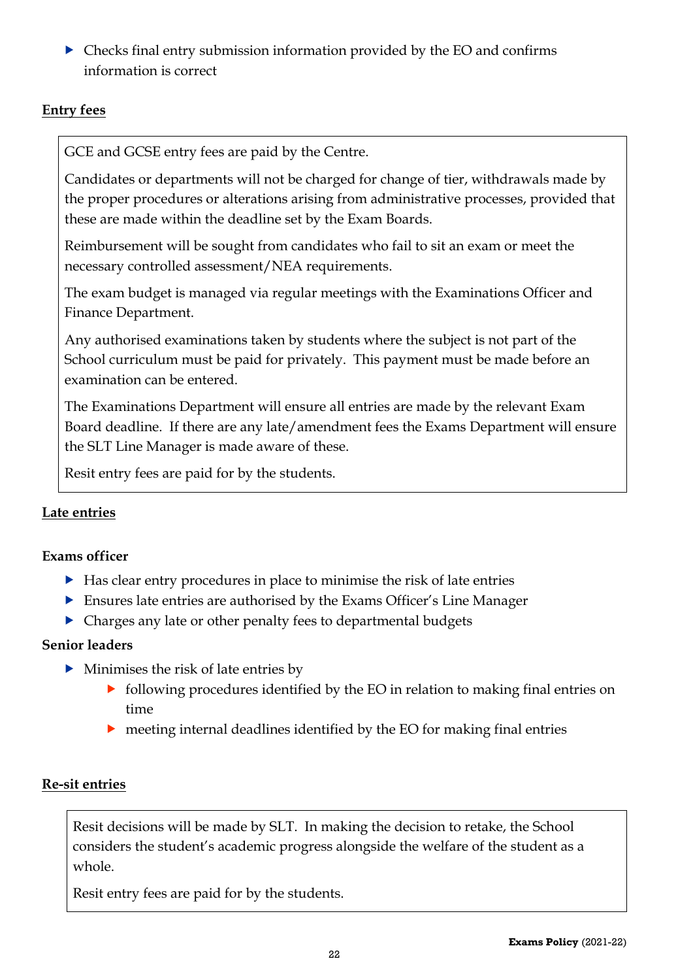Checks final entry submission information provided by the EO and confirms information is correct

#### <span id="page-21-0"></span>**Entry fees**

GCE and GCSE entry fees are paid by the Centre.

Candidates or departments will not be charged for change of tier, withdrawals made by the proper procedures or alterations arising from administrative processes, provided that these are made within the deadline set by the Exam Boards.

Reimbursement will be sought from candidates who fail to sit an exam or meet the necessary controlled assessment/NEA requirements.

The exam budget is managed via regular meetings with the Examinations Officer and Finance Department.

Any authorised examinations taken by students where the subject is not part of the School curriculum must be paid for privately. This payment must be made before an examination can be entered.

The Examinations Department will ensure all entries are made by the relevant Exam Board deadline. If there are any late/amendment fees the Exams Department will ensure the SLT Line Manager is made aware of these.

Resit entry fees are paid for by the students.

#### <span id="page-21-1"></span>**Late entries**

#### **Exams officer**

- Has clear entry procedures in place to minimise the risk of late entries
- Ensures late entries are authorised by the Exams Officer's Line Manager
- Charges any late or other penalty fees to departmental budgets

#### **Senior leaders**

- $\blacktriangleright$  Minimises the risk of late entries by
	- following procedures identified by the EO in relation to making final entries on time
	- meeting internal deadlines identified by the EO for making final entries

#### <span id="page-21-2"></span>**Re-sit entries**

Resit decisions will be made by SLT. In making the decision to retake, the School considers the student's academic progress alongside the welfare of the student as a whole.

Resit entry fees are paid for by the students.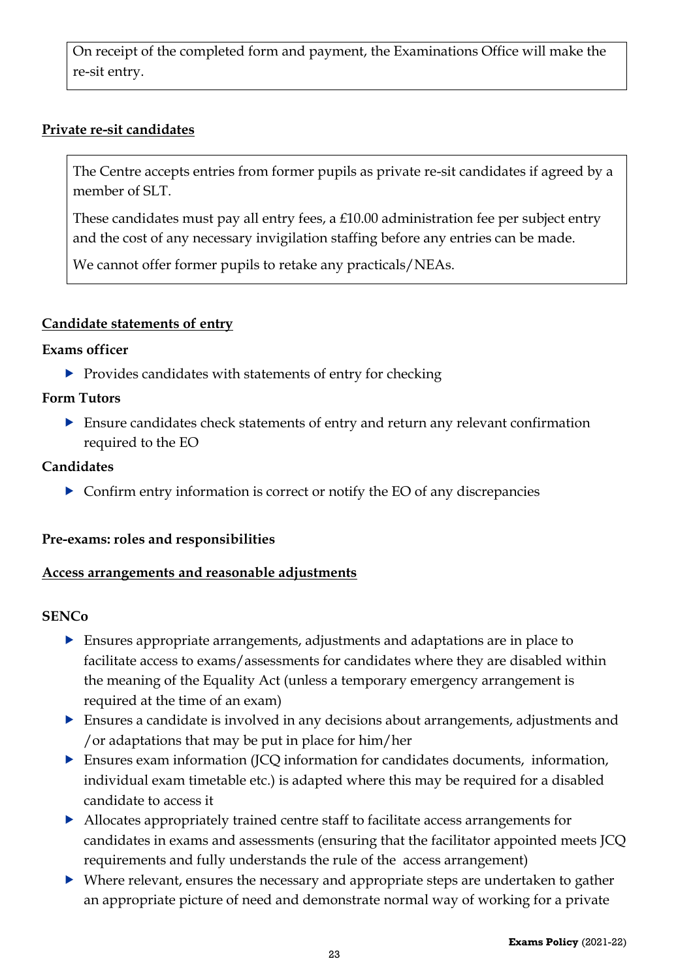On receipt of the completed form and payment, the Examinations Office will make the re-sit entry.

#### <span id="page-22-0"></span>**Private re-sit candidates**

The Centre accepts entries from former pupils as private re-sit candidates if agreed by a member of SLT.

These candidates must pay all entry fees, a £10.00 administration fee per subject entry and the cost of any necessary invigilation staffing before any entries can be made.

We cannot offer former pupils to retake any practicals/NEAs.

#### <span id="page-22-1"></span>**Candidate statements of entry**

#### **Exams officer**

Provides candidates with statements of entry for checking

#### **Form Tutors**

 Ensure candidates check statements of entry and return any relevant confirmation required to the EO

#### **Candidates**

 $\triangleright$  Confirm entry information is correct or notify the EO of any discrepancies

#### <span id="page-22-2"></span>**Pre-exams: roles and responsibilities**

#### <span id="page-22-3"></span>**Access arrangements and reasonable adjustments**

#### **SENCo**

- Ensures appropriate arrangements, adjustments and adaptations are in place to facilitate access to exams/assessments for candidates where they are disabled within the meaning of the Equality Act (unless a temporary emergency arrangement is required at the time of an exam)
- Ensures a candidate is involved in any decisions about arrangements, adjustments and /or adaptations that may be put in place for him/her
- Ensures exam information (JCQ information for candidates documents, information, individual exam timetable etc.) is adapted where this may be required for a disabled candidate to access it
- Allocates appropriately trained centre staff to facilitate access arrangements for candidates in exams and assessments (ensuring that the facilitator appointed meets JCQ requirements and fully understands the rule of the access arrangement)
- Where relevant, ensures the necessary and appropriate steps are undertaken to gather an appropriate picture of need and demonstrate normal way of working for a private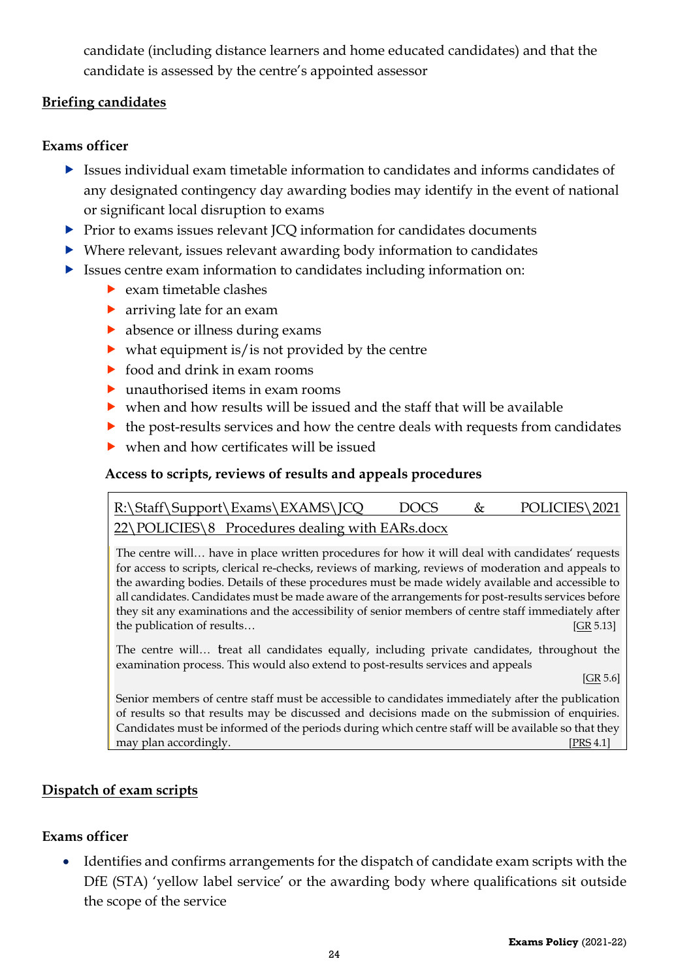candidate (including distance learners and home educated candidates) and that the candidate is assessed by the centre's appointed assessor

#### <span id="page-23-0"></span>**Briefing candidates**

#### **Exams officer**

- $\blacktriangleright$  Issues individual exam timetable information to candidates and informs candidates of any designated contingency day awarding bodies may identify in the event of national or significant local disruption to exams
- Prior to exams issues relevant JCQ information for candidates documents
- Where relevant, issues relevant awarding body information to candidates
- Issues centre exam information to candidates including information on:
	- $\blacktriangleright$  exam timetable clashes
	- arriving late for an exam
	- absence or illness during exams
	- $\triangleright$  what equipment is/is not provided by the centre
	- $\triangleright$  food and drink in exam rooms
	- ▶ unauthorised items in exam rooms
	- when and how results will be issued and the staff that will be available
	- $\triangleright$  the post-results services and how the centre deals with requests from candidates
	- when and how certificates will be issued

#### <span id="page-23-1"></span>**Access to scripts, reviews of results and appeals procedures**

[R:\Staff\Support\Exams\EXAMS\JCQ](file://///fs-03/RDrive$/Staff/Support/Exams/EXAMS/JCQ%20DOCS%20&%20POLICIES/2017%2018/NEW%20POLICIES/10%20%20%20Procedures%20dealing%20with%20EARs.docx) DOCS & POLICIES\2021 [22\POLICIES\8 Procedures dealing with EARs.docx](file://///fs-03/RDrive$/Staff/Support/Exams/EXAMS/JCQ%20DOCS%20&%20POLICIES/2017%2018/NEW%20POLICIES/10%20%20%20Procedures%20dealing%20with%20EARs.docx)

The centre will… have in place written procedures for how it will deal with candidates' requests for access to scripts, clerical re-checks, reviews of marking, reviews of moderation and appeals to the awarding bodies. Details of these procedures must be made widely available and accessible to all candidates. Candidates must be made aware of the arrangements for post-results services before they sit any examinations and the accessibility of senior members of centre staff immediately after the publication of results… **EXECUTE:** [\[GR](http://www.jcq.org.uk/exams-office/general-regulations) 5.13]

The centre will… treat all candidates equally, including private candidates, throughout the examination process. This would also extend to post-results services and appeals

[\[GR](http://www.jcq.org.uk/exams-office/general-regulations) 5.6]

Senior members of centre staff must be accessible to candidates immediately after the publication of results so that results may be discussed and decisions made on the submission of enquiries. Candidates must be informed of the periods during which centre staff will be available so that they may plan accordingly. [\[PRS](http://www.jcq.org.uk/exams-office/post-results-services) 4.1]

#### <span id="page-23-2"></span>**Dispatch of exam scripts**

#### **Exams officer**

• Identifies and confirms arrangements for the dispatch of candidate exam scripts with the DfE (STA) 'yellow label service' or the awarding body where qualifications sit outside the scope of the service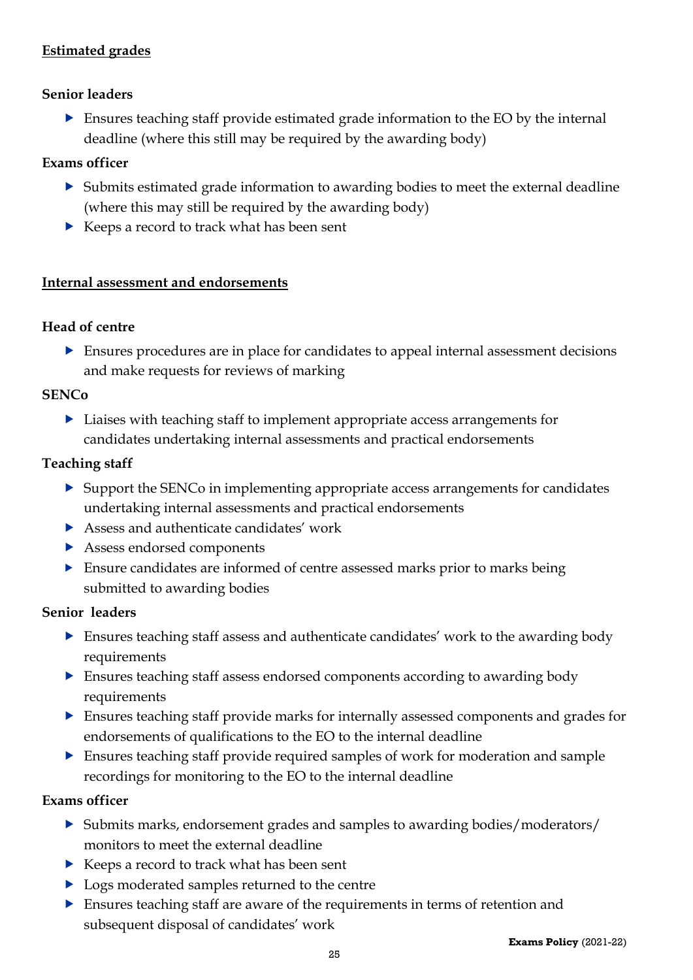#### <span id="page-24-0"></span>**Estimated grades**

#### **Senior leaders**

 Ensures teaching staff provide estimated grade information to the EO by the internal deadline (where this still may be required by the awarding body)

#### **Exams officer**

- Submits estimated grade information to awarding bodies to meet the external deadline (where this may still be required by the awarding body)
- ▶ Keeps a record to track what has been sent

#### <span id="page-24-1"></span>**Internal assessment and endorsements**

#### **Head of centre**

 Ensures procedures are in place for candidates to appeal internal assessment decisions and make requests for reviews of marking

#### **SENCo**

 Liaises with teaching staff to implement appropriate access arrangements for candidates undertaking internal assessments and practical endorsements

#### **Teaching staff**

- ▶ Support the SENCo in implementing appropriate access arrangements for candidates undertaking internal assessments and practical endorsements
- ▶ Assess and authenticate candidates' work
- Assess endorsed components
- Ensure candidates are informed of centre assessed marks prior to marks being submitted to awarding bodies

#### **Senior leaders**

- Ensures teaching staff assess and authenticate candidates' work to the awarding body requirements
- Ensures teaching staff assess endorsed components according to awarding body requirements
- Ensures teaching staff provide marks for internally assessed components and grades for endorsements of qualifications to the EO to the internal deadline
- Ensures teaching staff provide required samples of work for moderation and sample recordings for monitoring to the EO to the internal deadline

#### **Exams officer**

- Submits marks, endorsement grades and samples to awarding bodies/moderators/ monitors to meet the external deadline
- ▶ Keeps a record to track what has been sent
- ▶ Logs moderated samples returned to the centre
- Ensures teaching staff are aware of the requirements in terms of retention and subsequent disposal of candidates' work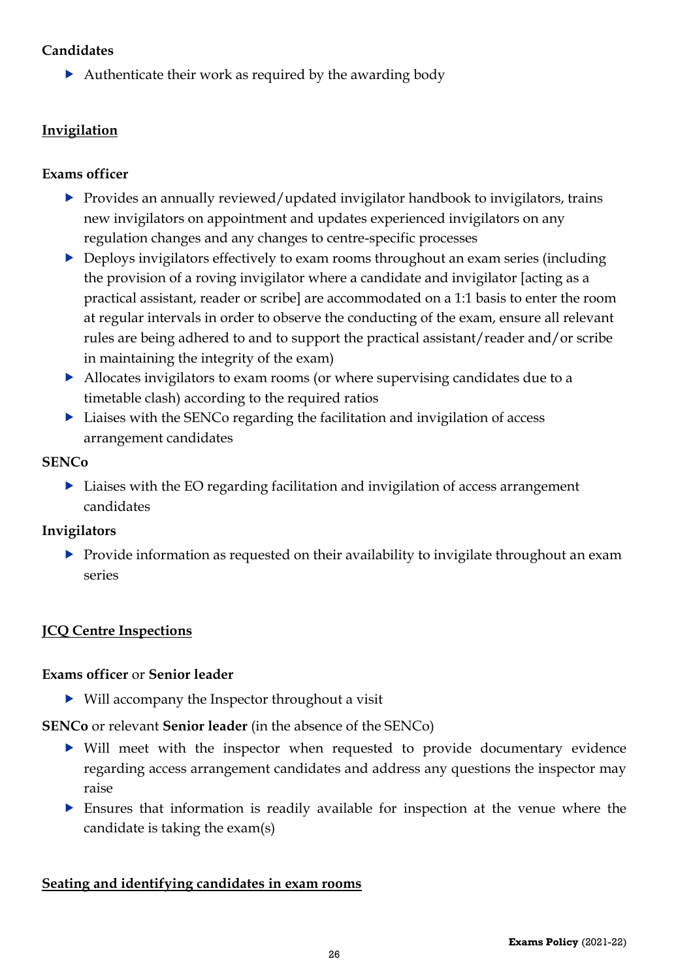#### **Candidates**

Authenticate their work as required by the awarding body

#### <span id="page-25-0"></span>**Invigilation**

#### **Exams officer**

- ▶ Provides an annually reviewed/updated invigilator handbook to invigilators, trains new invigilators on appointment and updates experienced invigilators on any regulation changes and any changes to centre-specific processes
- ▶ Deploys invigilators effectively to exam rooms throughout an exam series (including the provision of a roving invigilator where a candidate and invigilator [acting as a practical assistant, reader or scribe] are accommodated on a 1:1 basis to enter the room at regular intervals in order to observe the conducting of the exam, ensure all relevant rules are being adhered to and to support the practical assistant/reader and/or scribe in maintaining the integrity of the exam)
- Allocates invigilators to exam rooms (or where supervising candidates due to a timetable clash) according to the required ratios
- Liaises with the SENCo regarding the facilitation and invigilation of access arrangement candidates

#### **SENCo**

▶ Liaises with the EO regarding facilitation and invigilation of access arrangement candidates

#### **Invigilators**

 $\triangleright$  Provide information as requested on their availability to invigilate throughout an exam series

# <span id="page-25-1"></span>**JCQ Centre Inspections**

#### **Exams officer** or **Senior leader**

Will accompany the Inspector throughout a visit

**SENCo** or relevant **Senior leader** (in the absence of the SENCo)

- Will meet with the inspector when requested to provide documentary evidence regarding access arrangement candidates and address any questions the inspector may raise
- Ensures that information is readily available for inspection at the venue where the candidate is taking the exam(s)

#### <span id="page-25-2"></span>**Seating and identifying candidates in exam rooms**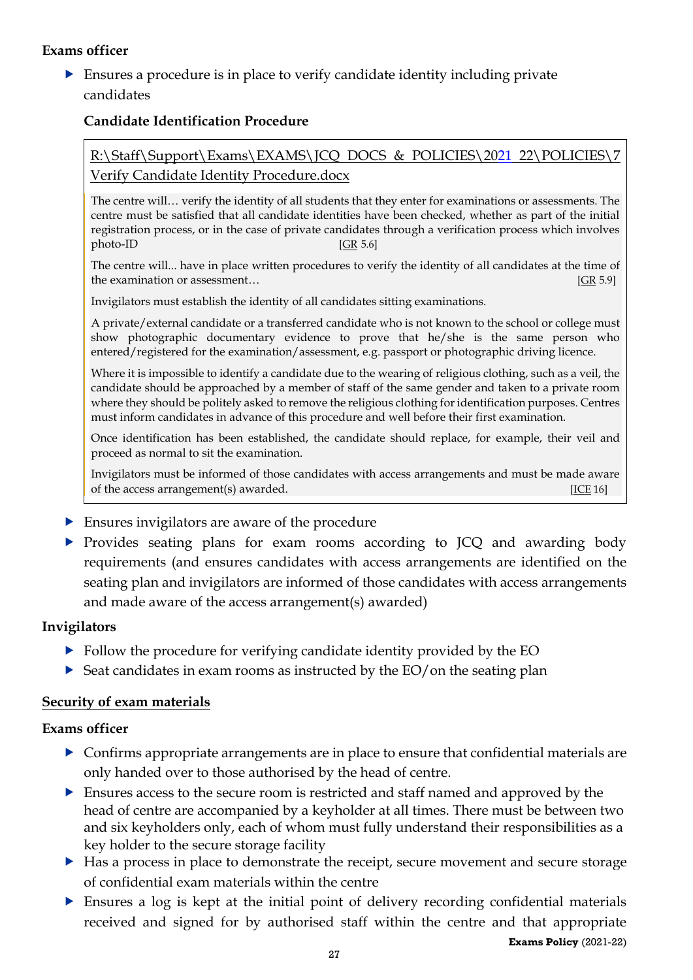#### **Exams officer**

 Ensures a procedure is in place to verify candidate identity including private candidates

#### <span id="page-26-0"></span>**Candidate Identification Procedure**

#### [R:\Staff\Support\Exams\EXAMS\JCQ DOCS & POLICIES\2021](file://///fs-03/RDrive$/Staff/Support/Exams/EXAMS/JCQ%20DOCS%20&%20POLICIES/2017%2018/NEW%20POLICIES/9%20%20%20Verify%20Candidate%20Identity%20Procedure.docx) 22\POLICIES\7 [Verify Candidate Identity Procedure.docx](file://///fs-03/RDrive$/Staff/Support/Exams/EXAMS/JCQ%20DOCS%20&%20POLICIES/2017%2018/NEW%20POLICIES/9%20%20%20Verify%20Candidate%20Identity%20Procedure.docx)

The centre will… verify the identity of all students that they enter for examinations or assessments. The centre must be satisfied that all candidate identities have been checked, whether as part of the initial registration process, or in the case of private candidates through a verification process which involves  $photo-ID$  [\[GR](http://www.jcq.org.uk/exams-office/general-regulations) 5.6]

The centre will... have in place written procedures to verify the identity of all candidates at the time of the examination or assessment…  $[GR 5.9]$  $[GR 5.9]$ 

Invigilators must establish the identity of all candidates sitting examinations.

A private/external candidate or a transferred candidate who is not known to the school or college must show photographic documentary evidence to prove that he/she is the same person who entered/registered for the examination/assessment, e.g. passport or photographic driving licence.

Where it is impossible to identify a candidate due to the wearing of religious clothing, such as a veil, the candidate should be approached by a member of staff of the same gender and taken to a private room where they should be politely asked to remove the religious clothing for identification purposes. Centres must inform candidates in advance of this procedure and well before their first examination.

Once identification has been established, the candidate should replace, for example, their veil and proceed as normal to sit the examination.

Invigilators must be informed of those candidates with access arrangements and must be made aware of the access arrangement(s) awarded. [\[ICE](http://www.jcq.org.uk/exams-office/ice---instructions-for-conducting-examinations) 16]  $[ICE 16]$ 

- **Ensures invigilators are aware of the procedure**
- Provides seating plans for exam rooms according to JCQ and awarding body requirements (and ensures candidates with access arrangements are identified on the seating plan and invigilators are informed of those candidates with access arrangements and made aware of the access arrangement(s) awarded)

#### **Invigilators**

- Follow the procedure for verifying candidate identity provided by the EO
- $\triangleright$  Seat candidates in exam rooms as instructed by the EO/on the seating plan

#### <span id="page-26-1"></span>**Security of exam materials**

#### **Exams officer**

- Confirms appropriate arrangements are in place to ensure that confidential materials are only handed over to those authorised by the head of centre.
- Ensures access to the secure room is restricted and staff named and approved by the head of centre are accompanied by a keyholder at all times. There must be between two and six keyholders only, each of whom must fully understand their responsibilities as a key holder to the secure storage facility
- Has a process in place to demonstrate the receipt, secure movement and secure storage of confidential exam materials within the centre
- Ensures a log is kept at the initial point of delivery recording confidential materials received and signed for by authorised staff within the centre and that appropriate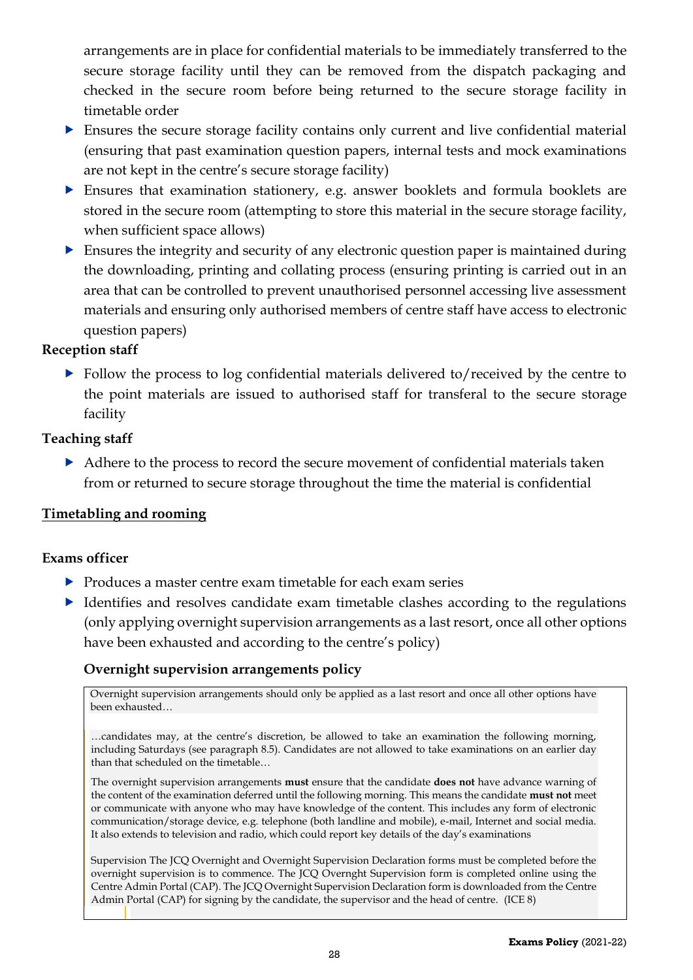arrangements are in place for confidential materials to be immediately transferred to the secure storage facility until they can be removed from the dispatch packaging and checked in the secure room before being returned to the secure storage facility in timetable order

- Ensures the secure storage facility contains only current and live confidential material (ensuring that past examination question papers, internal tests and mock examinations are not kept in the centre's secure storage facility)
- Ensures that examination stationery, e.g. answer booklets and formula booklets are stored in the secure room (attempting to store this material in the secure storage facility, when sufficient space allows)
- Ensures the integrity and security of any electronic question paper is maintained during the downloading, printing and collating process (ensuring printing is carried out in an area that can be controlled to prevent unauthorised personnel accessing live assessment materials and ensuring only authorised members of centre staff have access to electronic question papers)

#### **Reception staff**

Follow the process to log confidential materials delivered to/received by the centre to the point materials are issued to authorised staff for transferal to the secure storage facility

#### **Teaching staff**

Adhere to the process to record the secure movement of confidential materials taken from or returned to secure storage throughout the time the material is confidential

#### <span id="page-27-0"></span>**Timetabling and rooming**

#### **Exams officer**

- Produces a master centre exam timetable for each exam series
- Identifies and resolves candidate exam timetable clashes according to the regulations (only applying overnight supervision arrangements as a last resort, once all other options have been exhausted and according to the centre's policy)

#### <span id="page-27-1"></span>**Overnight supervision arrangements policy**

Overnight supervision arrangements should only be applied as a last resort and once all other options have been exhausted…

…candidates may, at the centre's discretion, be allowed to take an examination the following morning, including Saturdays (see paragraph 8.5). Candidates are not allowed to take examinations on an earlier day than that scheduled on the timetable…

The overnight supervision arrangements **must** ensure that the candidate **does not** have advance warning of the content of the examination deferred until the following morning. This means the candidate **must not** meet or communicate with anyone who may have knowledge of the content. This includes any form of electronic communication/storage device, e.g. telephone (both landline and mobile), e-mail, Internet and social media. It also extends to television and radio, which could report key details of the day's examinations

Supervision The JCQ Overnight and Overnight Supervision Declaration forms must be completed before the overnight supervision is to commence. The JCQ Overnght Supervision form is completed online using the Centre Admin Portal (CAP). The JCQ Overnight Supervision Declaration form is downloaded from the Centre Admin Portal (CAP) for signing by the candidate, the supervisor and the head of centre. [\(ICE](http://www.jcq.org.uk/exams-office/ice---instructions-for-conducting-examinations) 8)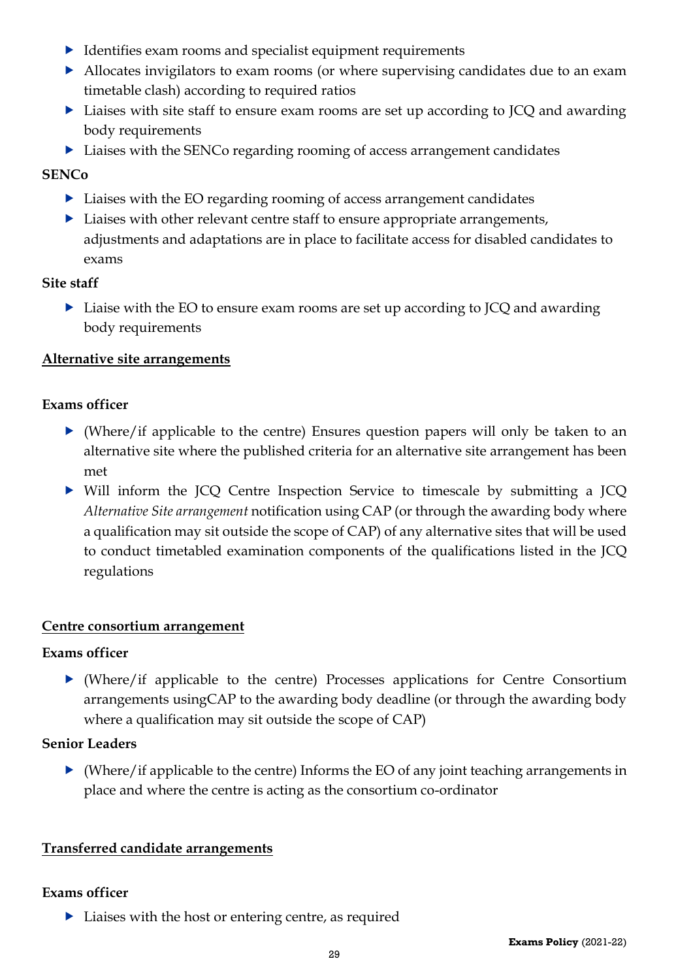- Identifies exam rooms and specialist equipment requirements
- Allocates invigilators to exam rooms (or where supervising candidates due to an exam timetable clash) according to required ratios
- ▶ Liaises with site staff to ensure exam rooms are set up according to JCQ and awarding body requirements
- ▶ Liaises with the SENCo regarding rooming of access arrangement candidates

#### **SENCo**

- ▶ Liaises with the EO regarding rooming of access arrangement candidates
- **Liaises with other relevant centre staff to ensure appropriate arrangements,** adjustments and adaptations are in place to facilitate access for disabled candidates to exams

#### **Site staff**

▶ Liaise with the EO to ensure exam rooms are set up according to JCQ and awarding body requirements

#### <span id="page-28-0"></span>**Alternative site arrangements**

#### **Exams officer**

- (Where/if applicable to the centre) Ensures question papers will only be taken to an alternative site where the published criteria for an alternative site arrangement has been met
- Will inform the JCQ Centre Inspection Service to timescale by submitting a JCQ *Alternative Site arrangement* notification using CAP (or through the awarding body where a qualification may sit outside the scope of CAP) of any alternative sites that will be used to conduct timetabled examination components of the qualifications listed in the JCQ regulations

#### <span id="page-28-1"></span>**Centre consortium arrangement**

#### **Exams officer**

 (Where/if applicable to the centre) Processes applications for Centre Consortium arrangements usingCAP to the awarding body deadline (or through the awarding body where a qualification may sit outside the scope of CAP)

#### **Senior Leaders**

 $\blacktriangleright$  (Where/if applicable to the centre) Informs the EO of any joint teaching arrangements in place and where the centre is acting as the consortium co-ordinator

#### <span id="page-28-2"></span>**Transferred candidate arrangements**

#### **Exams officer**

 $\blacktriangleright$  Liaises with the host or entering centre, as required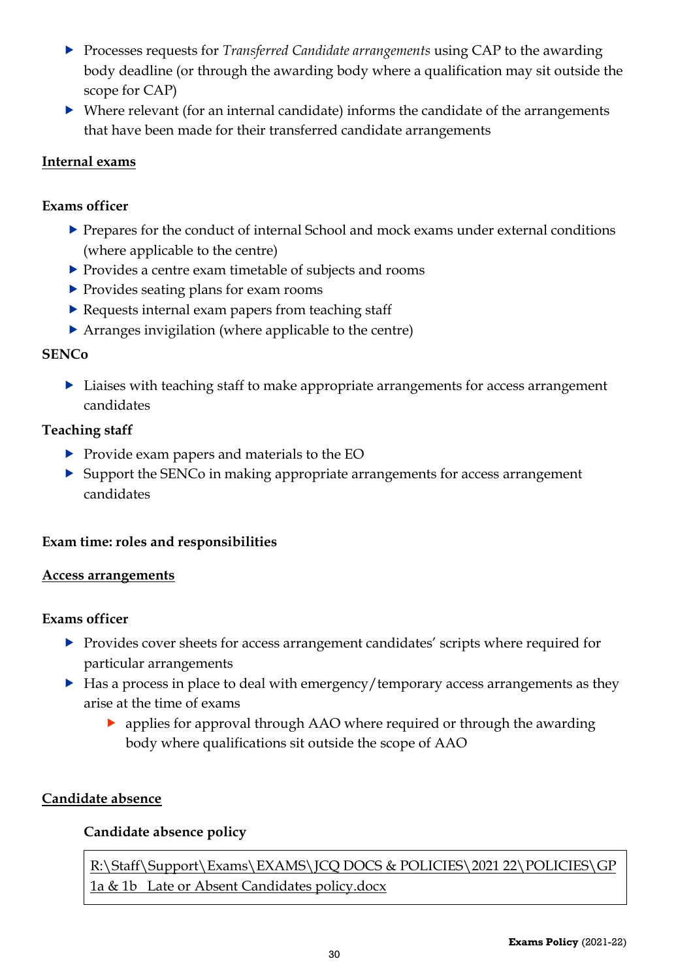- Processes requests for *Transferred Candidate arrangements* using CAP to the awarding body deadline (or through the awarding body where a qualification may sit outside the scope for CAP)
- Where relevant (for an internal candidate) informs the candidate of the arrangements that have been made for their transferred candidate arrangements

#### <span id="page-29-0"></span>**Internal exams**

#### **Exams officer**

- Prepares for the conduct of internal School and mock exams under external conditions (where applicable to the centre)
- Provides a centre exam timetable of subjects and rooms
- ▶ Provides seating plans for exam rooms
- $\blacktriangleright$  Requests internal exam papers from teaching staff
- Arranges invigilation (where applicable to the centre)

#### **SENCo**

▶ Liaises with teaching staff to make appropriate arrangements for access arrangement candidates

#### **Teaching staff**

- Provide exam papers and materials to the EO
- ▶ Support the SENCo in making appropriate arrangements for access arrangement candidates

#### <span id="page-29-1"></span>**Exam time: roles and responsibilities**

#### <span id="page-29-2"></span>**Access arrangements**

#### **Exams officer**

- **Provides cover sheets for access arrangement candidates' scripts where required for** particular arrangements
- $\blacktriangleright$  Has a process in place to deal with emergency/temporary access arrangements as they arise at the time of exams
	- applies for approval through AAO where required or through the awarding body where qualifications sit outside the scope of AAO

#### <span id="page-29-4"></span><span id="page-29-3"></span>**Candidate absence**

#### **Candidate absence policy**

[R:\Staff\Support\Exams\EXAMS\JCQ DOCS & POLICIES\2021](file://///fs-03/RDrive$/Staff/Support/Exams/EXAMS/JCQ%20DOCS%20&%20POLICIES/2017%2018/NEW%20POLICIES/GP%202%203%20%20%20Late%20or%20Absent%20Candidates%20policy.docx) 22\POLICIES\GP [1a & 1b Late or Absent Candidates policy.docx](file://///fs-03/RDrive$/Staff/Support/Exams/EXAMS/JCQ%20DOCS%20&%20POLICIES/2017%2018/NEW%20POLICIES/GP%202%203%20%20%20Late%20or%20Absent%20Candidates%20policy.docx)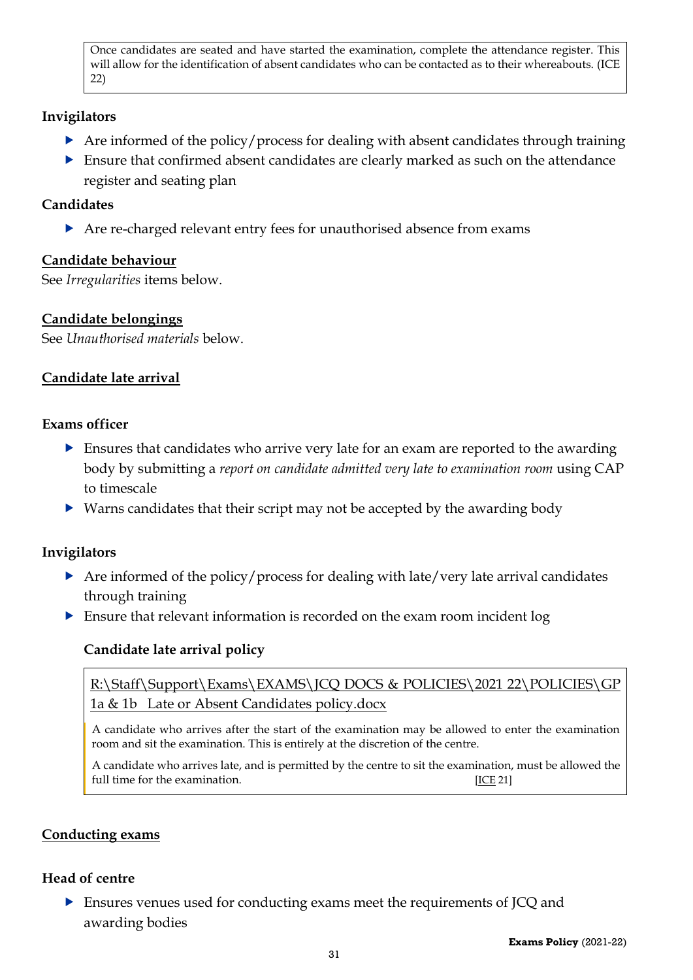Once candidates are seated and have started the examination, complete the attendance register. This will allow for the identification of absent candidates who can be contacted as to their whereabouts. [\(ICE](http://www.jcq.org.uk/exams-office/ice---instructions-for-conducting-examinations) 22)

#### **Invigilators**

- $\triangleright$  Are informed of the policy/process for dealing with absent candidates through training
- Ensure that confirmed absent candidates are clearly marked as such on the attendance register and seating plan

#### **Candidates**

Are re-charged relevant entry fees for unauthorised absence from exams

#### <span id="page-30-0"></span>**Candidate behaviour**

See *Irregularities* items below.

#### <span id="page-30-1"></span>**Candidate belongings**

See *Unauthorised materials* below.

#### <span id="page-30-2"></span>**Candidate late arrival**

#### **Exams officer**

- Ensures that candidates who arrive very late for an exam are reported to the awarding body by submitting a *report on candidate admitted very late to examination room* using CAP to timescale
- Warns candidates that their script may not be accepted by the awarding body

#### **Invigilators**

- Are informed of the policy/process for dealing with late/very late arrival candidates through training
- <span id="page-30-3"></span>Ensure that relevant information is recorded on the exam room incident log

#### **Candidate late arrival policy**

[R:\Staff\Support\Exams\EXAMS\JCQ DOCS & POLICIES\2021](file://///fs-03/RDrive$/Staff/Support/Exams/EXAMS/JCQ%20DOCS%20&%20POLICIES/2017%2018/NEW%20POLICIES/GP%202%203%20%20%20Late%20or%20Absent%20Candidates%20policy.docx) 22\POLICIES\GP [1a & 1b Late or Absent Candidates policy.docx](file://///fs-03/RDrive$/Staff/Support/Exams/EXAMS/JCQ%20DOCS%20&%20POLICIES/2017%2018/NEW%20POLICIES/GP%202%203%20%20%20Late%20or%20Absent%20Candidates%20policy.docx)

A candidate who arrives after the start of the examination may be allowed to enter the examination room and sit the examination. This is entirely at the discretion of the centre.

A candidate who arrives late, and is permitted by the centre to sit the examination, must be allowed the full time for the examination. [\[ICE](http://www.jcq.org.uk/exams-office/ice---instructions-for-conducting-examinations) 21]

#### <span id="page-30-4"></span>**Conducting exams**

#### **Head of centre**

 Ensures venues used for conducting exams meet the requirements of JCQ and awarding bodies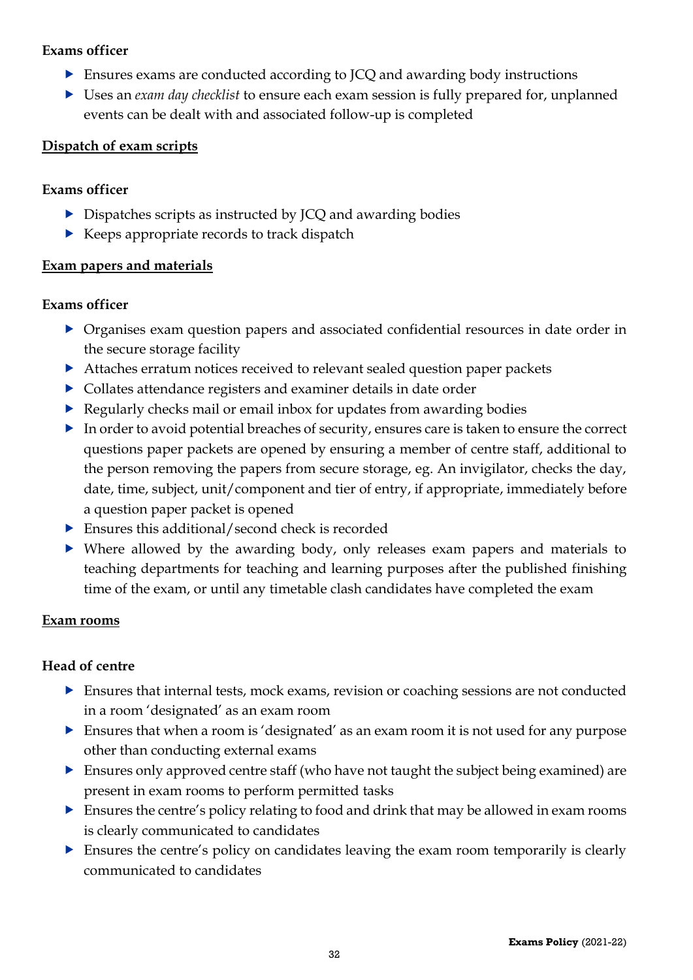#### **Exams officer**

- Ensures exams are conducted according to JCQ and awarding body instructions
- Uses an *exam day checklist* to ensure each exam session is fully prepared for, unplanned events can be dealt with and associated follow-up is completed

#### <span id="page-31-0"></span>**Dispatch of exam scripts**

#### **Exams officer**

- Dispatches scripts as instructed by JCQ and awarding bodies
- $\blacktriangleright$  Keeps appropriate records to track dispatch

#### <span id="page-31-1"></span>**Exam papers and materials**

#### **Exams officer**

- Organises exam question papers and associated confidential resources in date order in the secure storage facility
- Attaches erratum notices received to relevant sealed question paper packets
- Collates attendance registers and examiner details in date order
- ▶ Regularly checks mail or email inbox for updates from awarding bodies
- In order to avoid potential breaches of security, ensures care is taken to ensure the correct questions paper packets are opened by ensuring a member of centre staff, additional to the person removing the papers from secure storage, eg. An invigilator, checks the day, date, time, subject, unit/component and tier of entry, if appropriate, immediately before a question paper packet is opened
- Ensures this additional/second check is recorded
- Where allowed by the awarding body, only releases exam papers and materials to teaching departments for teaching and learning purposes after the published finishing time of the exam, or until any timetable clash candidates have completed the exam

#### <span id="page-31-2"></span>**Exam rooms**

#### **Head of centre**

- Ensures that internal tests, mock exams, revision or coaching sessions are not conducted in a room 'designated' as an exam room
- Ensures that when a room is 'designated' as an exam room it is not used for any purpose other than conducting external exams
- Ensures only approved centre staff (who have not taught the subject being examined) are present in exam rooms to perform permitted tasks
- Ensures the centre's policy relating to food and drink that may be allowed in exam rooms is clearly communicated to candidates
- Ensures the centre's policy on candidates leaving the exam room temporarily is clearly communicated to candidates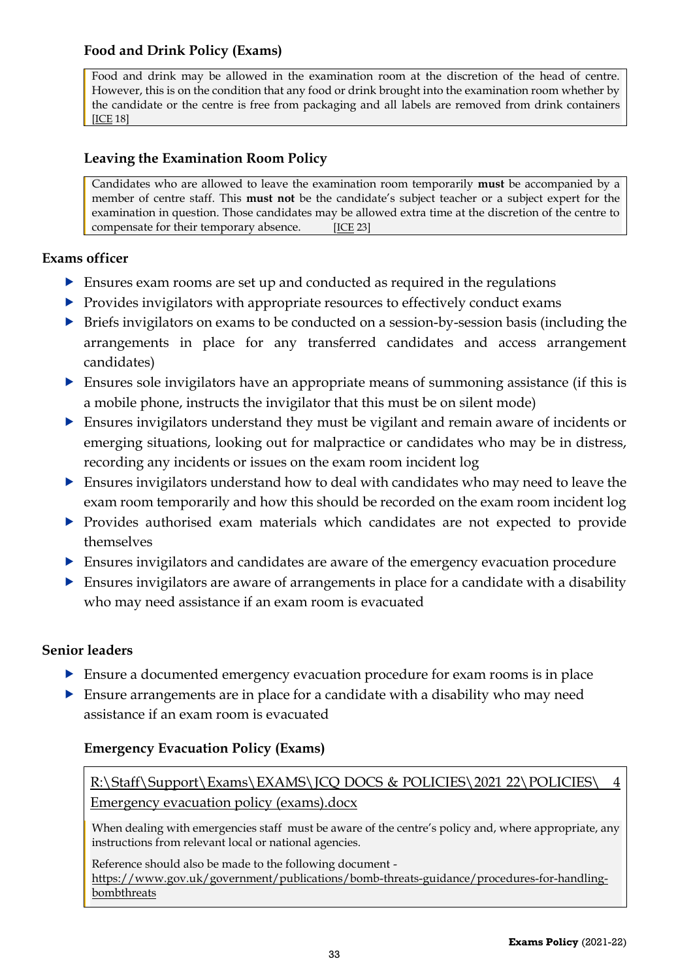#### <span id="page-32-0"></span>**Food and Drink Policy (Exams)**

Food and drink may be allowed in the examination room at the discretion of the head of centre. However, this is on the condition that any food or drink brought into the examination room whether by the candidate or the centre is free from packaging and all labels are removed from drink containers [\[ICE](http://www.jcq.org.uk/exams-office/ice---instructions-for-conducting-examinations) 18]

#### <span id="page-32-1"></span>**Leaving the Examination Room Policy**

Candidates who are allowed to leave the examination room temporarily **must** be accompanied by a member of centre staff. This **must not** be the candidate's subject teacher or a subject expert for the examination in question. Those candidates may be allowed extra time at the discretion of the centre to compensate for their temporary absence.  $[ICE 23]$  $[ICE 23]$ 

#### **Exams officer**

- Ensures exam rooms are set up and conducted as required in the regulations
- $\triangleright$  Provides invigilators with appropriate resources to effectively conduct exams
- **Briefs invigilators on exams to be conducted on a session-by-session basis (including the** arrangements in place for any transferred candidates and access arrangement candidates)
- Ensures sole invigilators have an appropriate means of summoning assistance (if this is a mobile phone, instructs the invigilator that this must be on silent mode)
- Ensures invigilators understand they must be vigilant and remain aware of incidents or emerging situations, looking out for malpractice or candidates who may be in distress, recording any incidents or issues on the exam room incident log
- Ensures invigilators understand how to deal with candidates who may need to leave the exam room temporarily and how this should be recorded on the exam room incident log
- Provides authorised exam materials which candidates are not expected to provide themselves
- Ensures invigilators and candidates are aware of the emergency evacuation procedure
- Ensures invigilators are aware of arrangements in place for a candidate with a disability who may need assistance if an exam room is evacuated

#### **Senior leaders**

- Ensure a documented emergency evacuation procedure for exam rooms is in place
- $\triangleright$  Ensure arrangements are in place for a candidate with a disability who may need assistance if an exam room is evacuated

#### <span id="page-32-2"></span>**Emergency Evacuation Policy (Exams)**

[R:\Staff\Support\Exams\EXAMS\JCQ DOCS & POLICIES\2021](file://///fs-03/RDrive$/Staff/Support/Exams/EXAMS/JCQ%20DOCS%20&%20POLICIES/2017%2018/NEW%20POLICIES/5%20%20%20Emergency%20evacuation%20policy%20(exams).docx) 22\POLICIES\ 4 [Emergency evacuation policy \(exams\).docx](file://///fs-03/RDrive$/Staff/Support/Exams/EXAMS/JCQ%20DOCS%20&%20POLICIES/2017%2018/NEW%20POLICIES/5%20%20%20Emergency%20evacuation%20policy%20(exams).docx)

When dealing with emergencies staff must be aware of the centre's policy and, where appropriate, any instructions from relevant local or national agencies.

Reference should also be made to the following document [https://www.gov.uk/government/publications/bomb-threats-guidance/procedures-for-handling](https://www.gov.uk/government/publications/bomb-threats-guidance/procedures-for-handling-bombthreats)[bombthreats](https://www.gov.uk/government/publications/bomb-threats-guidance/procedures-for-handling-bombthreats)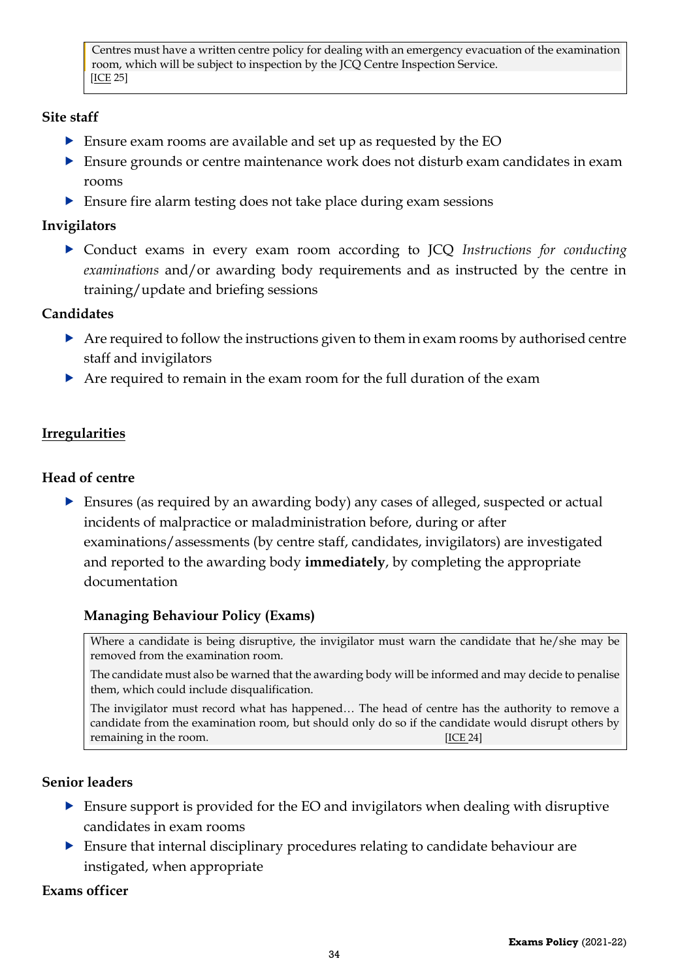Centres must have a written centre policy for dealing with an emergency evacuation of the examination room, which will be subject to inspection by the JCQ Centre Inspection Service. [\[ICE](http://www.jcq.org.uk/exams-office/ice---instructions-for-conducting-examinations) 25]

#### **Site staff**

- Ensure exam rooms are available and set up as requested by the EO
- Ensure grounds or centre maintenance work does not disturb exam candidates in exam rooms
- Ensure fire alarm testing does not take place during exam sessions

#### **Invigilators**

 Conduct exams in every exam room according to JCQ *Instructions for conducting examinations* and/or awarding body requirements and as instructed by the centre in training/update and briefing sessions

#### **Candidates**

- Are required to follow the instructions given to them in exam rooms by authorised centre staff and invigilators
- Are required to remain in the exam room for the full duration of the exam

#### <span id="page-33-0"></span>**Irregularities**

#### **Head of centre**

 Ensures (as required by an awarding body) any cases of alleged, suspected or actual incidents of malpractice or maladministration before, during or after examinations/assessments (by centre staff, candidates, invigilators) are investigated and reported to the awarding body **immediately**, by completing the appropriate documentation

#### <span id="page-33-1"></span>**Managing Behaviour Policy (Exams)**

Where a candidate is being disruptive, the invigilator must warn the candidate that he/she may be removed from the examination room.

The candidate must also be warned that the awarding body will be informed and may decide to penalise them, which could include disqualification.

The invigilator must record what has happened… The head of centre has the authority to remove a candidate from the examination room, but should only do so if the candidate would disrupt others by remaining in the room.[\[ICE](http://www.jcq.org.uk/exams-office/ice---instructions-for-conducting-examinations) 24]

#### **Senior leaders**

- Ensure support is provided for the EO and invigilators when dealing with disruptive candidates in exam rooms
- Ensure that internal disciplinary procedures relating to candidate behaviour are instigated, when appropriate

#### **Exams officer**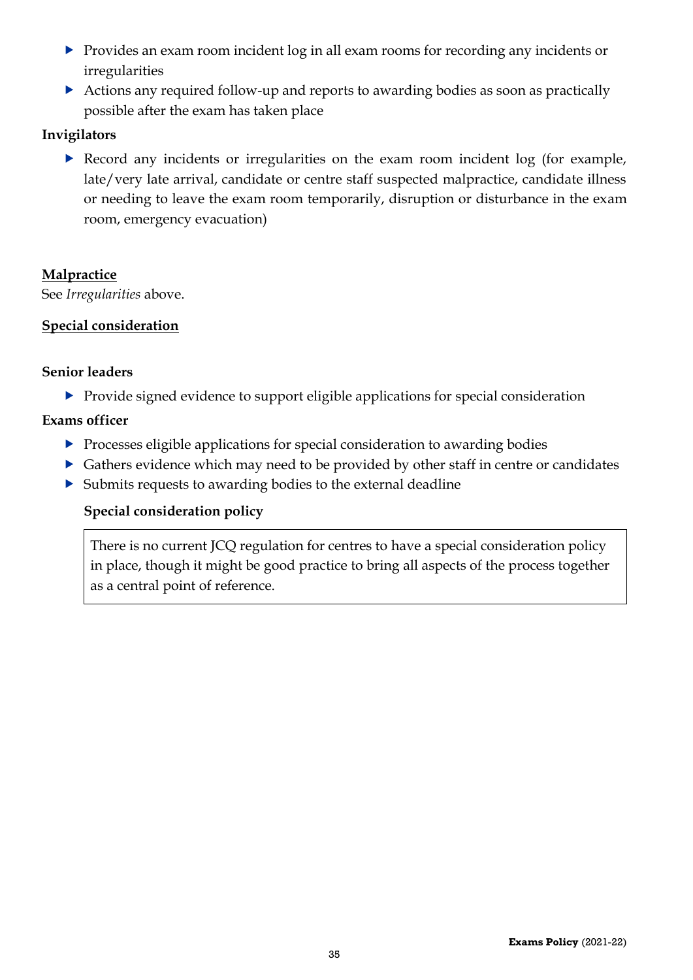- Provides an exam room incident log in all exam rooms for recording any incidents or irregularities
- Actions any required follow-up and reports to awarding bodies as soon as practically possible after the exam has taken place

#### **Invigilators**

 Record any incidents or irregularities on the exam room incident log (for example, late/very late arrival, candidate or centre staff suspected malpractice, candidate illness or needing to leave the exam room temporarily, disruption or disturbance in the exam room, emergency evacuation)

#### **Malpractice**

See *Irregularities* above.

#### <span id="page-34-0"></span>**Special consideration**

#### **Senior leaders**

Provide signed evidence to support eligible applications for special consideration

#### **Exams officer**

- **Processes eligible applications for special consideration to awarding bodies**
- Gathers evidence which may need to be provided by other staff in centre or candidates
- <span id="page-34-1"></span>Submits requests to awarding bodies to the external deadline

#### **Special consideration policy**

There is no current JCQ regulation for centres to have a special consideration policy in place, though it might be good practice to bring all aspects of the process together as a central point of reference.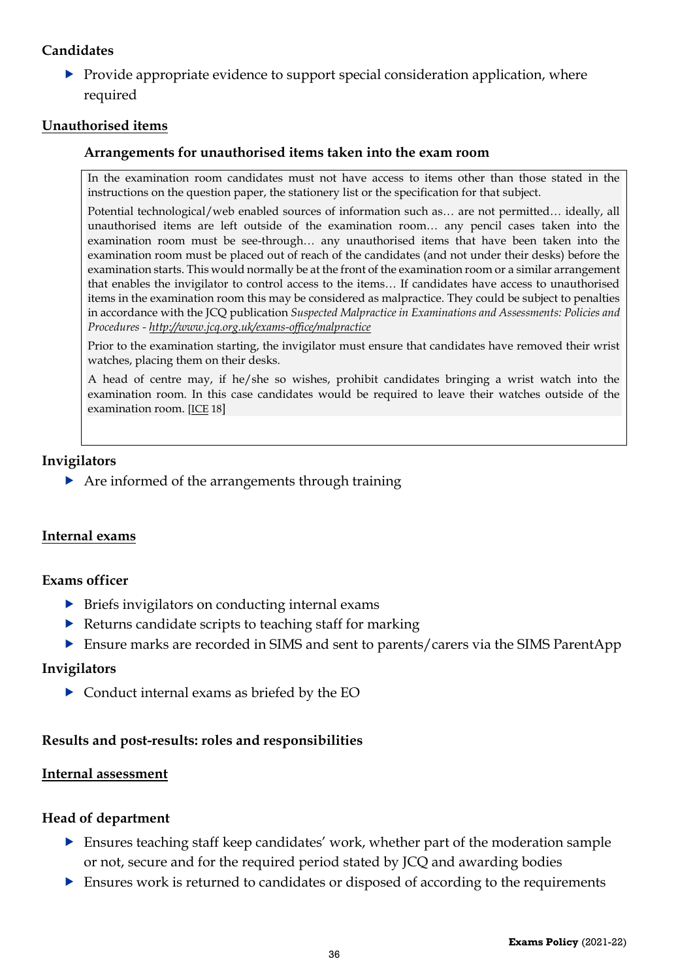#### **Candidates**

 $\blacktriangleright$  Provide appropriate evidence to support special consideration application, where required

#### <span id="page-35-1"></span><span id="page-35-0"></span>**Unauthorised items**

#### **Arrangements for unauthorised items taken into the exam room**

In the examination room candidates must not have access to items other than those stated in the instructions on the question paper, the stationery list or the specification for that subject.

Potential technological/web enabled sources of information such as… are not permitted… ideally, all unauthorised items are left outside of the examination room… any pencil cases taken into the examination room must be see-through… any unauthorised items that have been taken into the examination room must be placed out of reach of the candidates (and not under their desks) before the examination starts. This would normally be at the front of the examination room or a similar arrangement that enables the invigilator to control access to the items… If candidates have access to unauthorised items in the examination room this may be considered as malpractice. They could be subject to penalties in accordance with the JCQ publication *Suspected Malpractice in Examinations and Assessments: Policies and Procedures - <http://www.jcq.org.uk/exams-office/malpractice>*

Prior to the examination starting, the invigilator must ensure that candidates have removed their wrist watches, placing them on their desks.

A head of centre may, if he/she so wishes, prohibit candidates bringing a wrist watch into the examination room. In this case candidates would be required to leave their watches outside of the examination room. [\[ICE](http://www.jcq.org.uk/exams-office/ice---instructions-for-conducting-examinations) 18]

#### **Invigilators**

 $\triangleright$  Are informed of the arrangements through training

#### <span id="page-35-2"></span>**Internal exams**

#### **Exams officer**

- $\triangleright$  Briefs invigilators on conducting internal exams
- $\blacktriangleright$  Returns candidate scripts to teaching staff for marking
- Ensure marks are recorded in SIMS and sent to parents/carers via the SIMS ParentApp

#### **Invigilators**

Conduct internal exams as briefed by the EO

#### <span id="page-35-3"></span>**Results and post-results: roles and responsibilities**

#### <span id="page-35-4"></span>**Internal assessment**

#### **Head of department**

- Ensures teaching staff keep candidates' work, whether part of the moderation sample or not, secure and for the required period stated by JCQ and awarding bodies
- Ensures work is returned to candidates or disposed of according to the requirements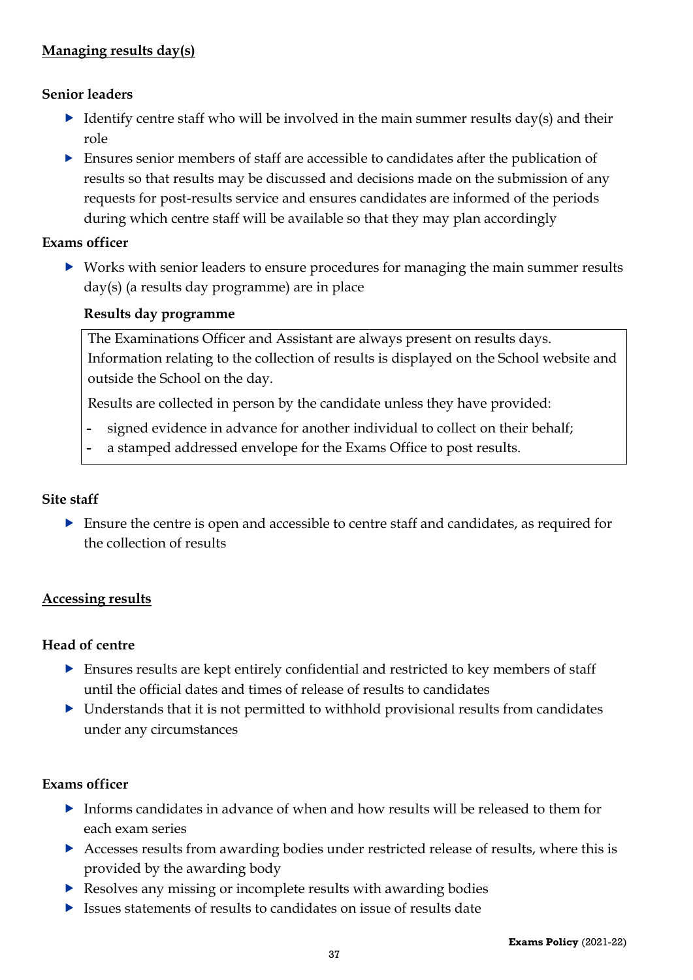#### <span id="page-36-0"></span>**Managing results day(s)**

#### **Senior leaders**

- Identify centre staff who will be involved in the main summer results day(s) and their role
- Ensures senior members of staff are accessible to candidates after the publication of results so that results may be discussed and decisions made on the submission of any requests for post-results service and ensures candidates are informed of the periods during which centre staff will be available so that they may plan accordingly

#### **Exams officer**

 Works with senior leaders to ensure procedures for managing the main summer results day(s) (a results day programme) are in place

#### <span id="page-36-1"></span>**Results day programme**

The Examinations Officer and Assistant are always present on results days. Information relating to the collection of results is displayed on the School website and outside the School on the day.

Results are collected in person by the candidate unless they have provided:

- signed evidence in advance for another individual to collect on their behalf;
- a stamped addressed envelope for the Exams Office to post results.

#### **Site staff**

 Ensure the centre is open and accessible to centre staff and candidates, as required for the collection of results

#### <span id="page-36-2"></span>**Accessing results**

#### **Head of centre**

- Ensures results are kept entirely confidential and restricted to key members of staff until the official dates and times of release of results to candidates
- $\triangleright$  Understands that it is not permitted to withhold provisional results from candidates under any circumstances

#### **Exams officer**

- Informs candidates in advance of when and how results will be released to them for each exam series
- Accesses results from awarding bodies under restricted release of results, where this is provided by the awarding body
- **Resolves any missing or incomplete results with awarding bodies**
- Issues statements of results to candidates on issue of results date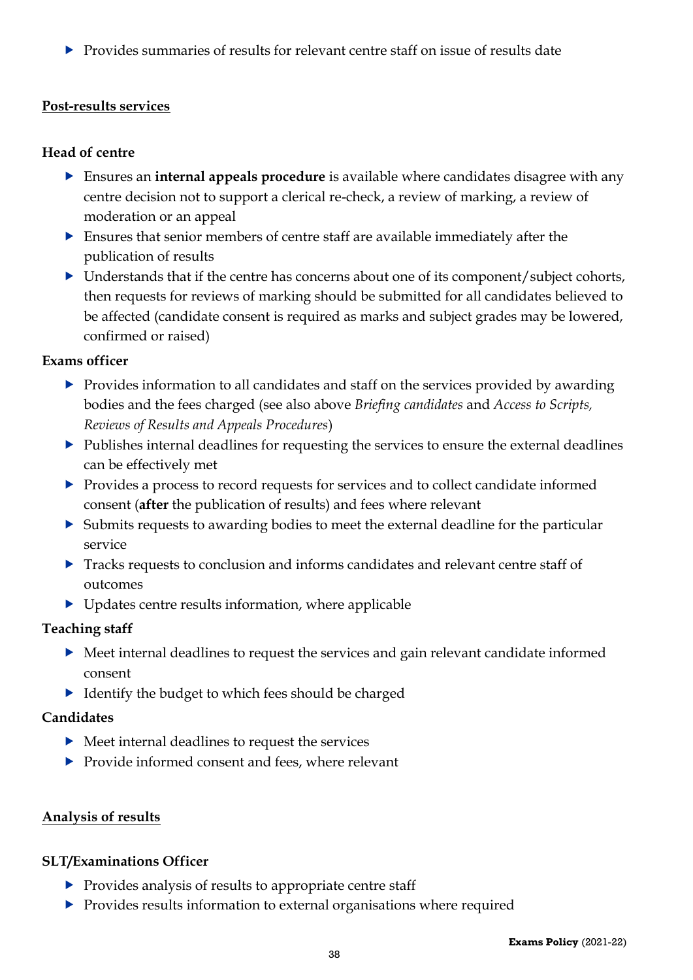$\triangleright$  Provides summaries of results for relevant centre staff on issue of results date

#### <span id="page-37-0"></span>**Post-results services**

#### **Head of centre**

- Ensures an **internal appeals procedure** is available where candidates disagree with any centre decision not to support a clerical re-check, a review of marking, a review of moderation or an appeal
- Ensures that senior members of centre staff are available immediately after the publication of results
- ▶ Understands that if the centre has concerns about one of its component/subject cohorts, then requests for reviews of marking should be submitted for all candidates believed to be affected (candidate consent is required as marks and subject grades may be lowered, confirmed or raised)

#### **Exams officer**

- **Provides information to all candidates and staff on the services provided by awarding** bodies and the fees charged (see also above *Briefing candidates* and *Access to Scripts, Reviews of Results and Appeals Procedures*)
- Publishes internal deadlines for requesting the services to ensure the external deadlines can be effectively met
- Provides a process to record requests for services and to collect candidate informed consent (**after** the publication of results) and fees where relevant
- Submits requests to awarding bodies to meet the external deadline for the particular service
- Tracks requests to conclusion and informs candidates and relevant centre staff of outcomes
- $\triangleright$  Updates centre results information, where applicable

#### **Teaching staff**

- Meet internal deadlines to request the services and gain relevant candidate informed consent
- Identify the budget to which fees should be charged

#### **Candidates**

- $\triangleright$  Meet internal deadlines to request the services
- ▶ Provide informed consent and fees, where relevant

#### <span id="page-37-1"></span>**Analysis of results**

#### **SLT/Examinations Officer**

- $\triangleright$  Provides analysis of results to appropriate centre staff
- **Provides results information to external organisations where required**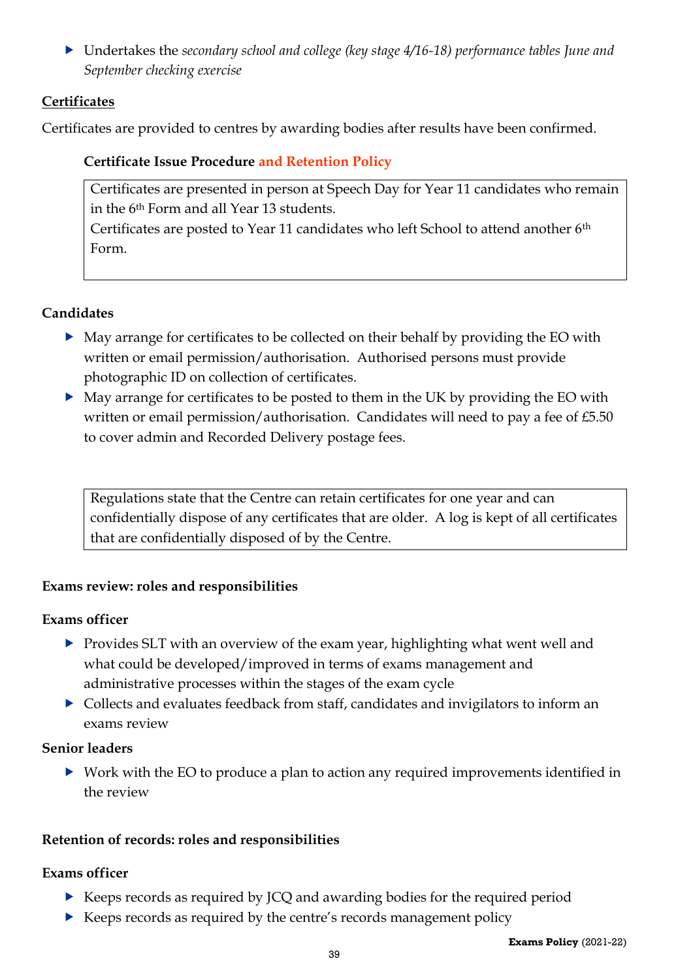Undertakes the *secondary school and college (key stage 4/16-18) performance tables June and September checking exercise*

#### <span id="page-38-0"></span>**Certificates**

<span id="page-38-1"></span>Certificates are provided to centres by awarding bodies after results have been confirmed.

#### **Certificate Issue Procedure and Retention Policy**

Certificates are presented in person at Speech Day for Year 11 candidates who remain in the 6th Form and all Year 13 students.

Certificates are posted to Year 11 candidates who left School to attend another 6th Form.

#### **Candidates**

- May arrange for certificates to be collected on their behalf by providing the EO with written or email permission/authorisation. Authorised persons must provide photographic ID on collection of certificates.
- May arrange for certificates to be posted to them in the UK by providing the EO with written or email permission/authorisation. Candidates will need to pay a fee of £5.50 to cover admin and Recorded Delivery postage fees.

Regulations state that the Centre can retain certificates for one year and can confidentially dispose of any certificates that are older. A log is kept of all certificates that are confidentially disposed of by the Centre.

#### <span id="page-38-2"></span>**Exams review: roles and responsibilities**

#### **Exams officer**

- $\triangleright$  Provides SLT with an overview of the exam year, highlighting what went well and what could be developed/improved in terms of exams management and administrative processes within the stages of the exam cycle
- Collects and evaluates feedback from staff, candidates and invigilators to inform an exams review

#### **Senior leaders**

 Work with the EO to produce a plan to action any required improvements identified in the review

#### <span id="page-38-3"></span>**Retention of records: roles and responsibilities**

#### **Exams officer**

- Keeps records as required by JCQ and awarding bodies for the required period
- ▶ Keeps records as required by the centre's records management policy